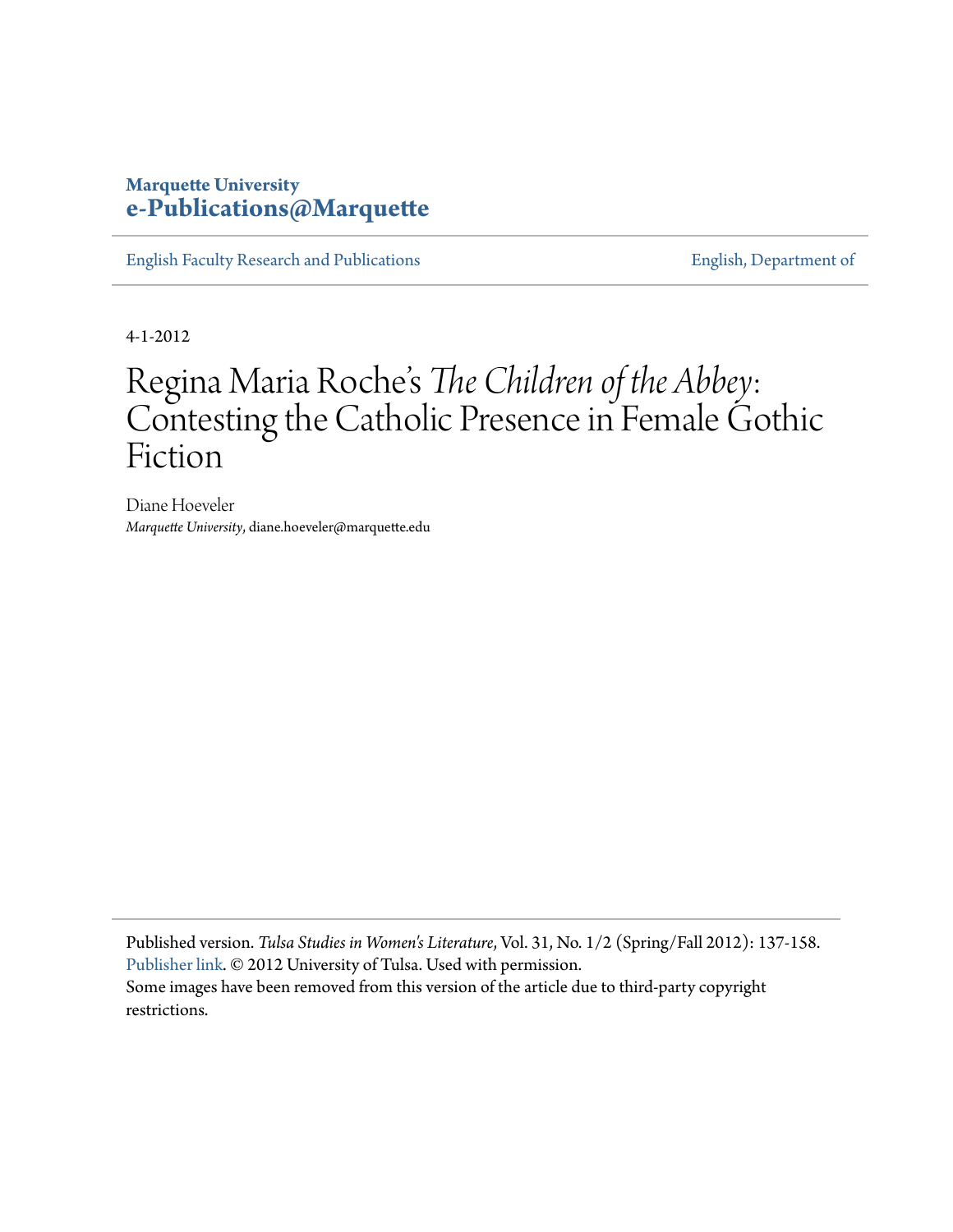## **Marquette University [e-Publications@Marquette](https://epublications.marquette.edu)**

[English Faculty Research and Publications](https://epublications.marquette.edu/english_fac) **[English, Department of](https://epublications.marquette.edu/english)** English, Department of

4-1-2012

# Regina Maria Roche' s *The Children of the Abbey*: Contesting the Catholic Presence in Female Gothic Fiction

Diane Hoeveler *Marquette University*, diane.hoeveler@marquette.edu

Published version. *Tulsa Studies in Women's Literature*, Vol. 31, No. 1/2 (Spring/Fall 2012): 137-158. [Publisher link](http://utulsa.edu/tswl/abstract/regina-maria-roches-the-children-of-the-abbey-contesting-the-catholic-presence-in-female-gothic-fiction/). © 2012 University of Tulsa. Used with permission. Some images have been removed from this version of the article due to third-party copyright restrictions.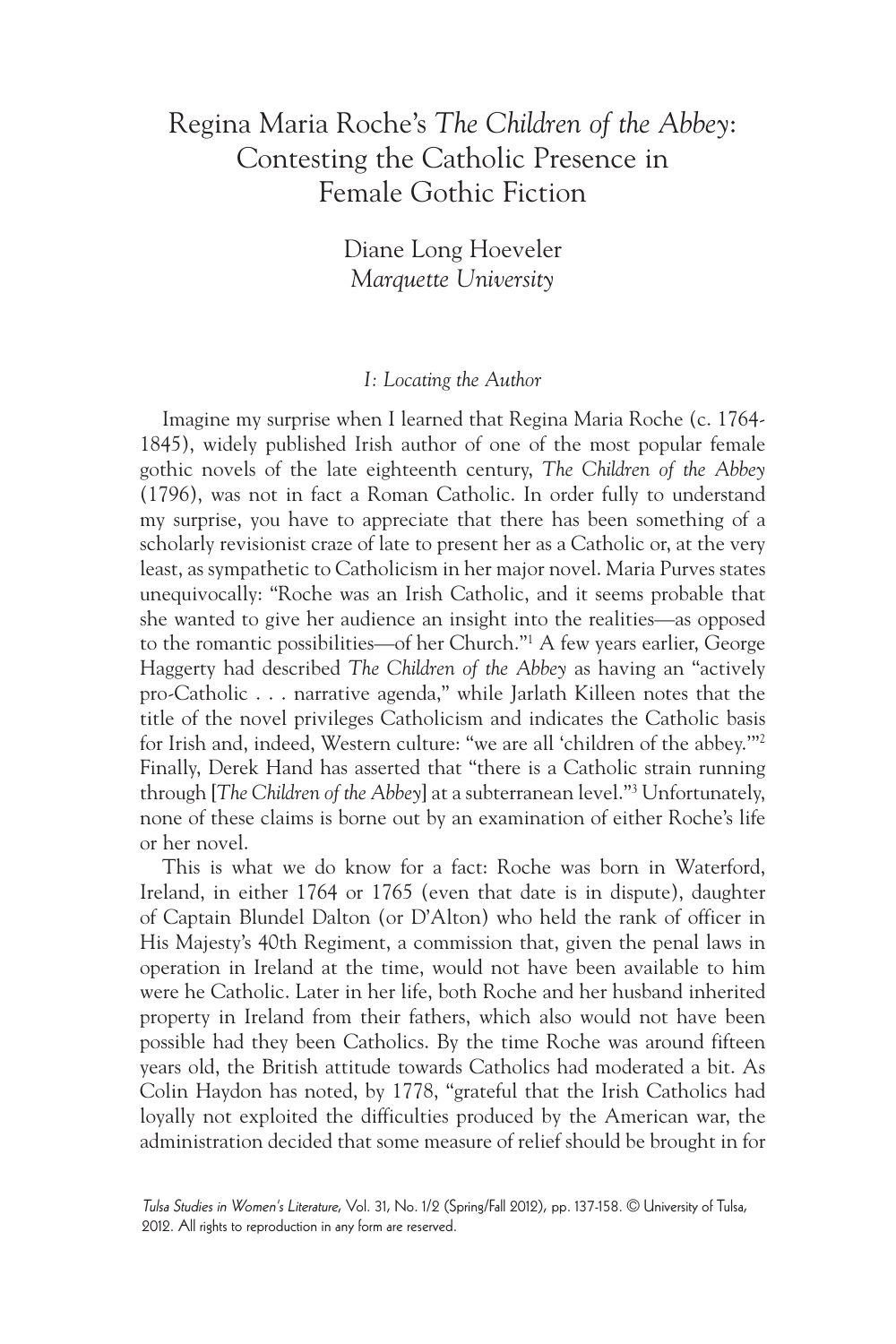## Regina Maria Roche's *The Children of the Abbey*: Contesting the Catholic Presence in Female Gothic Fiction

Diane Long Hoeveler *Marquette University*

#### *I: Locating the Author*

Imagine my surprise when I learned that Regina Maria Roche (c. 1764- 1845), widely published Irish author of one of the most popular female gothic novels of the late eighteenth century, *The Children of the Abbey* (1796), was not in fact a Roman Catholic. In order fully to understand my surprise, you have to appreciate that there has been something of a scholarly revisionist craze of late to present her as a Catholic or, at the very least, as sympathetic to Catholicism in her major novel. Maria Purves states unequivocally: "Roche was an Irish Catholic, and it seems probable that she wanted to give her audience an insight into the realities—as opposed to the romantic possibilities—of her Church."1 A few years earlier, George Haggerty had described *The Children of the Abbey* as having an "actively pro-Catholic . . . narrative agenda," while Jarlath Killeen notes that the title of the novel privileges Catholicism and indicates the Catholic basis for Irish and, indeed, Western culture: "we are all 'children of the abbey.'"2 Finally, Derek Hand has asserted that "there is a Catholic strain running through [*The Children of the Abbey*] at a subterranean level."3 Unfortunately, none of these claims is borne out by an examination of either Roche's life or her novel.

This is what we do know for a fact: Roche was born in Waterford, Ireland, in either 1764 or 1765 (even that date is in dispute), daughter of Captain Blundel Dalton (or D'Alton) who held the rank of officer in His Majesty's 40th Regiment, a commission that, given the penal laws in operation in Ireland at the time, would not have been available to him were he Catholic. Later in her life, both Roche and her husband inherited property in Ireland from their fathers, which also would not have been possible had they been Catholics. By the time Roche was around fifteen years old, the British attitude towards Catholics had moderated a bit. As Colin Haydon has noted, by 1778, "grateful that the Irish Catholics had loyally not exploited the difficulties produced by the American war, the administration decided that some measure of relief should be brought in for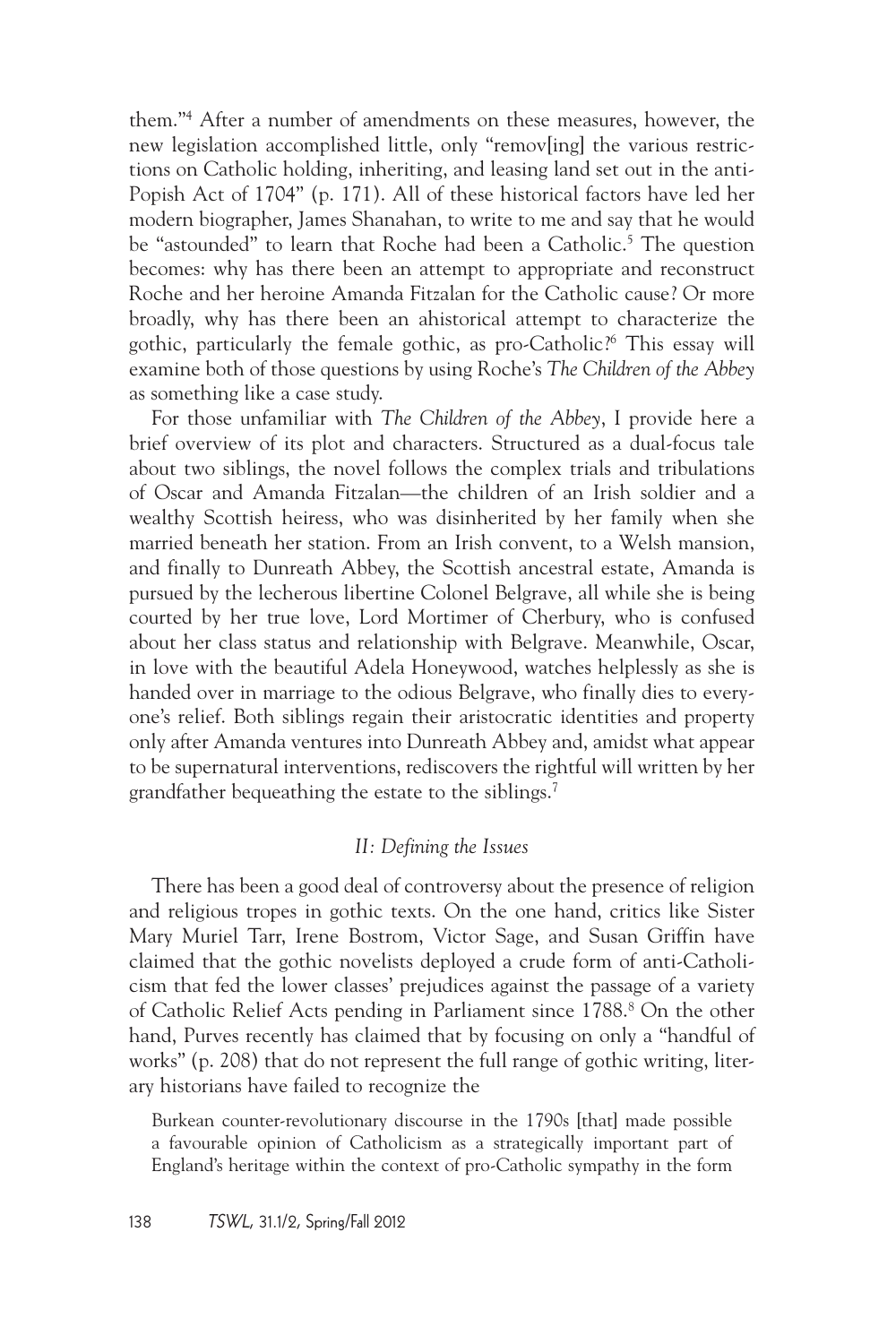them."4 After a number of amendments on these measures, however, the new legislation accomplished little, only "remov[ing] the various restrictions on Catholic holding, inheriting, and leasing land set out in the anti-Popish Act of 1704" (p. 171). All of these historical factors have led her modern biographer, James Shanahan, to write to me and say that he would be "astounded" to learn that Roche had been a Catholic.<sup>5</sup> The question becomes: why has there been an attempt to appropriate and reconstruct Roche and her heroine Amanda Fitzalan for the Catholic cause? Or more broadly, why has there been an ahistorical attempt to characterize the gothic, particularly the female gothic, as pro-Catholic?6 This essay will examine both of those questions by using Roche's *The Children of the Abbey* as something like a case study.

For those unfamiliar with *The Children of the Abbey*, I provide here a brief overview of its plot and characters. Structured as a dual-focus tale about two siblings, the novel follows the complex trials and tribulations of Oscar and Amanda Fitzalan—the children of an Irish soldier and a wealthy Scottish heiress, who was disinherited by her family when she married beneath her station. From an Irish convent, to a Welsh mansion, and finally to Dunreath Abbey, the Scottish ancestral estate, Amanda is pursued by the lecherous libertine Colonel Belgrave, all while she is being courted by her true love, Lord Mortimer of Cherbury, who is confused about her class status and relationship with Belgrave. Meanwhile, Oscar, in love with the beautiful Adela Honeywood, watches helplessly as she is handed over in marriage to the odious Belgrave, who finally dies to everyone's relief. Both siblings regain their aristocratic identities and property only after Amanda ventures into Dunreath Abbey and, amidst what appear to be supernatural interventions, rediscovers the rightful will written by her grandfather bequeathing the estate to the siblings.7

#### *II: Defining the Issues*

There has been a good deal of controversy about the presence of religion and religious tropes in gothic texts. On the one hand, critics like Sister Mary Muriel Tarr, Irene Bostrom, Victor Sage, and Susan Griffin have claimed that the gothic novelists deployed a crude form of anti-Catholicism that fed the lower classes' prejudices against the passage of a variety of Catholic Relief Acts pending in Parliament since 1788.<sup>8</sup> On the other hand, Purves recently has claimed that by focusing on only a "handful of works" (p. 208) that do not represent the full range of gothic writing, literary historians have failed to recognize the

Burkean counter-revolutionary discourse in the 1790s [that] made possible a favourable opinion of Catholicism as a strategically important part of England's heritage within the context of pro-Catholic sympathy in the form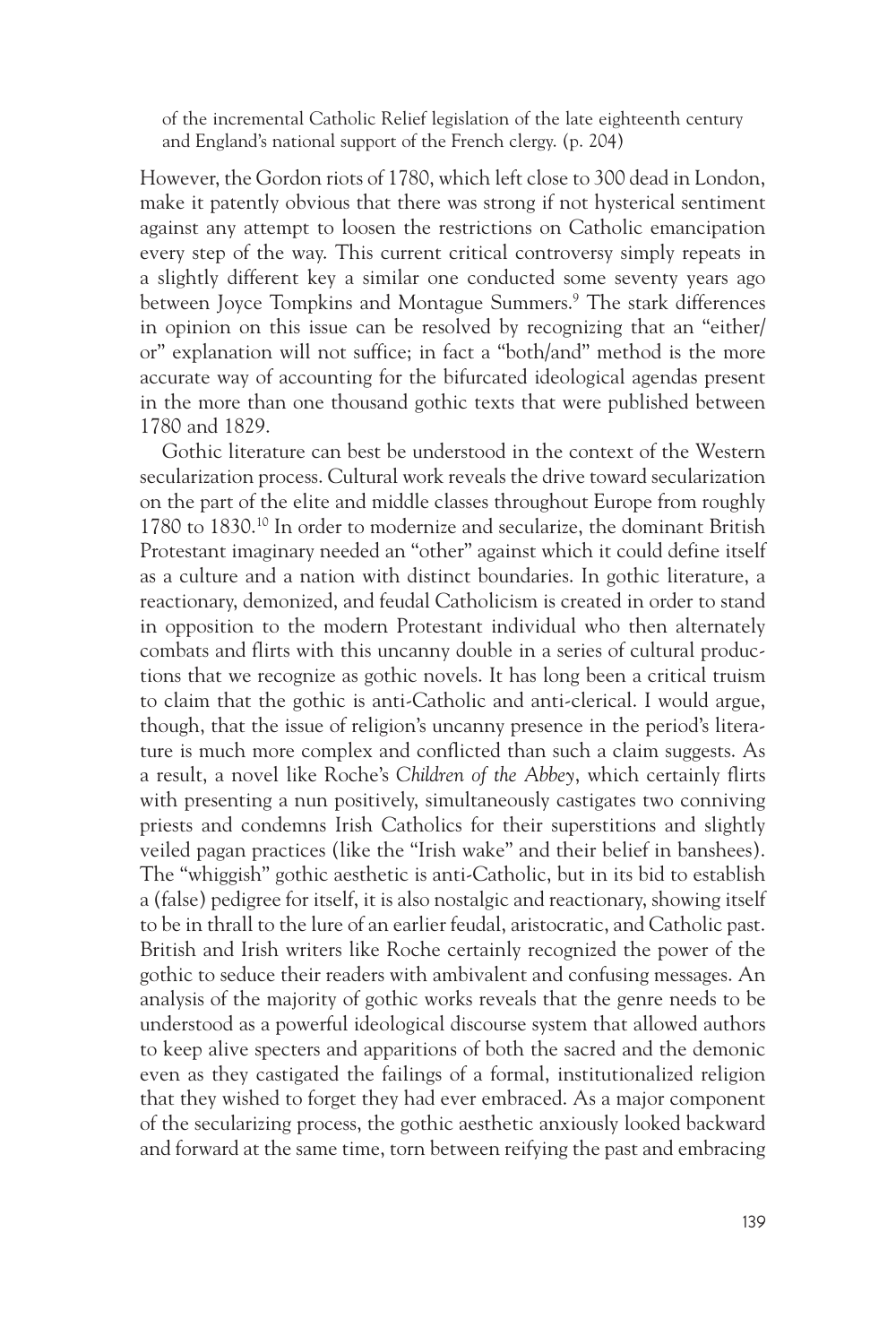of the incremental Catholic Relief legislation of the late eighteenth century and England's national support of the French clergy. (p. 204)

However, the Gordon riots of 1780, which left close to 300 dead in London, make it patently obvious that there was strong if not hysterical sentiment against any attempt to loosen the restrictions on Catholic emancipation every step of the way. This current critical controversy simply repeats in a slightly different key a similar one conducted some seventy years ago between Joyce Tompkins and Montague Summers.9 The stark differences in opinion on this issue can be resolved by recognizing that an "either/ or" explanation will not suffice; in fact a "both/and" method is the more accurate way of accounting for the bifurcated ideological agendas present in the more than one thousand gothic texts that were published between 1780 and 1829.

Gothic literature can best be understood in the context of the Western secularization process. Cultural work reveals the drive toward secularization on the part of the elite and middle classes throughout Europe from roughly 1780 to 1830.10 In order to modernize and secularize, the dominant British Protestant imaginary needed an "other" against which it could define itself as a culture and a nation with distinct boundaries. In gothic literature, a reactionary, demonized, and feudal Catholicism is created in order to stand in opposition to the modern Protestant individual who then alternately combats and flirts with this uncanny double in a series of cultural productions that we recognize as gothic novels. It has long been a critical truism to claim that the gothic is anti-Catholic and anti-clerical. I would argue, though, that the issue of religion's uncanny presence in the period's literature is much more complex and conflicted than such a claim suggests. As a result, a novel like Roche's *Children of the Abbey*, which certainly flirts with presenting a nun positively, simultaneously castigates two conniving priests and condemns Irish Catholics for their superstitions and slightly veiled pagan practices (like the "Irish wake" and their belief in banshees). The "whiggish" gothic aesthetic is anti-Catholic, but in its bid to establish a (false) pedigree for itself, it is also nostalgic and reactionary, showing itself to be in thrall to the lure of an earlier feudal, aristocratic, and Catholic past. British and Irish writers like Roche certainly recognized the power of the gothic to seduce their readers with ambivalent and confusing messages. An analysis of the majority of gothic works reveals that the genre needs to be understood as a powerful ideological discourse system that allowed authors to keep alive specters and apparitions of both the sacred and the demonic even as they castigated the failings of a formal, institutionalized religion that they wished to forget they had ever embraced. As a major component of the secularizing process, the gothic aesthetic anxiously looked backward and forward at the same time, torn between reifying the past and embracing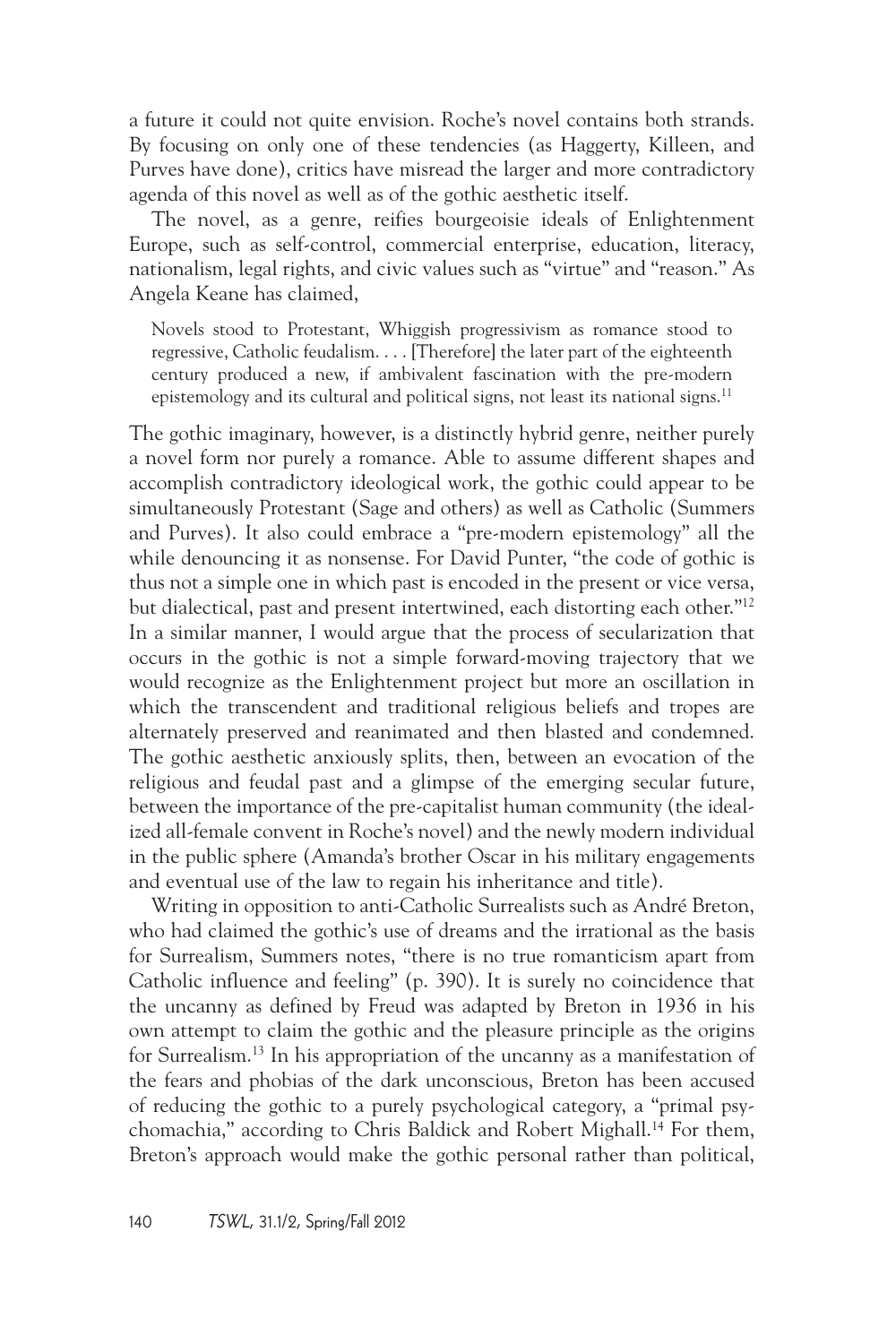a future it could not quite envision. Roche's novel contains both strands. By focusing on only one of these tendencies (as Haggerty, Killeen, and Purves have done), critics have misread the larger and more contradictory agenda of this novel as well as of the gothic aesthetic itself.

The novel, as a genre, reifies bourgeoisie ideals of Enlightenment Europe, such as self-control, commercial enterprise, education, literacy, nationalism, legal rights, and civic values such as "virtue" and "reason." As Angela Keane has claimed,

Novels stood to Protestant, Whiggish progressivism as romance stood to regressive, Catholic feudalism. . . . [Therefore] the later part of the eighteenth century produced a new, if ambivalent fascination with the pre-modern epistemology and its cultural and political signs, not least its national signs.<sup>11</sup>

The gothic imaginary, however, is a distinctly hybrid genre, neither purely a novel form nor purely a romance. Able to assume different shapes and accomplish contradictory ideological work, the gothic could appear to be simultaneously Protestant (Sage and others) as well as Catholic (Summers and Purves). It also could embrace a "pre-modern epistemology" all the while denouncing it as nonsense. For David Punter, "the code of gothic is thus not a simple one in which past is encoded in the present or vice versa, but dialectical, past and present intertwined, each distorting each other."12 In a similar manner, I would argue that the process of secularization that occurs in the gothic is not a simple forward-moving trajectory that we would recognize as the Enlightenment project but more an oscillation in which the transcendent and traditional religious beliefs and tropes are alternately preserved and reanimated and then blasted and condemned. The gothic aesthetic anxiously splits, then, between an evocation of the religious and feudal past and a glimpse of the emerging secular future, between the importance of the pre-capitalist human community (the idealized all-female convent in Roche's novel) and the newly modern individual in the public sphere (Amanda's brother Oscar in his military engagements and eventual use of the law to regain his inheritance and title).

Writing in opposition to anti-Catholic Surrealists such as André Breton, who had claimed the gothic's use of dreams and the irrational as the basis for Surrealism, Summers notes, "there is no true romanticism apart from Catholic influence and feeling" (p. 390). It is surely no coincidence that the uncanny as defined by Freud was adapted by Breton in 1936 in his own attempt to claim the gothic and the pleasure principle as the origins for Surrealism.13 In his appropriation of the uncanny as a manifestation of the fears and phobias of the dark unconscious, Breton has been accused of reducing the gothic to a purely psychological category, a "primal psychomachia," according to Chris Baldick and Robert Mighall.14 For them, Breton's approach would make the gothic personal rather than political,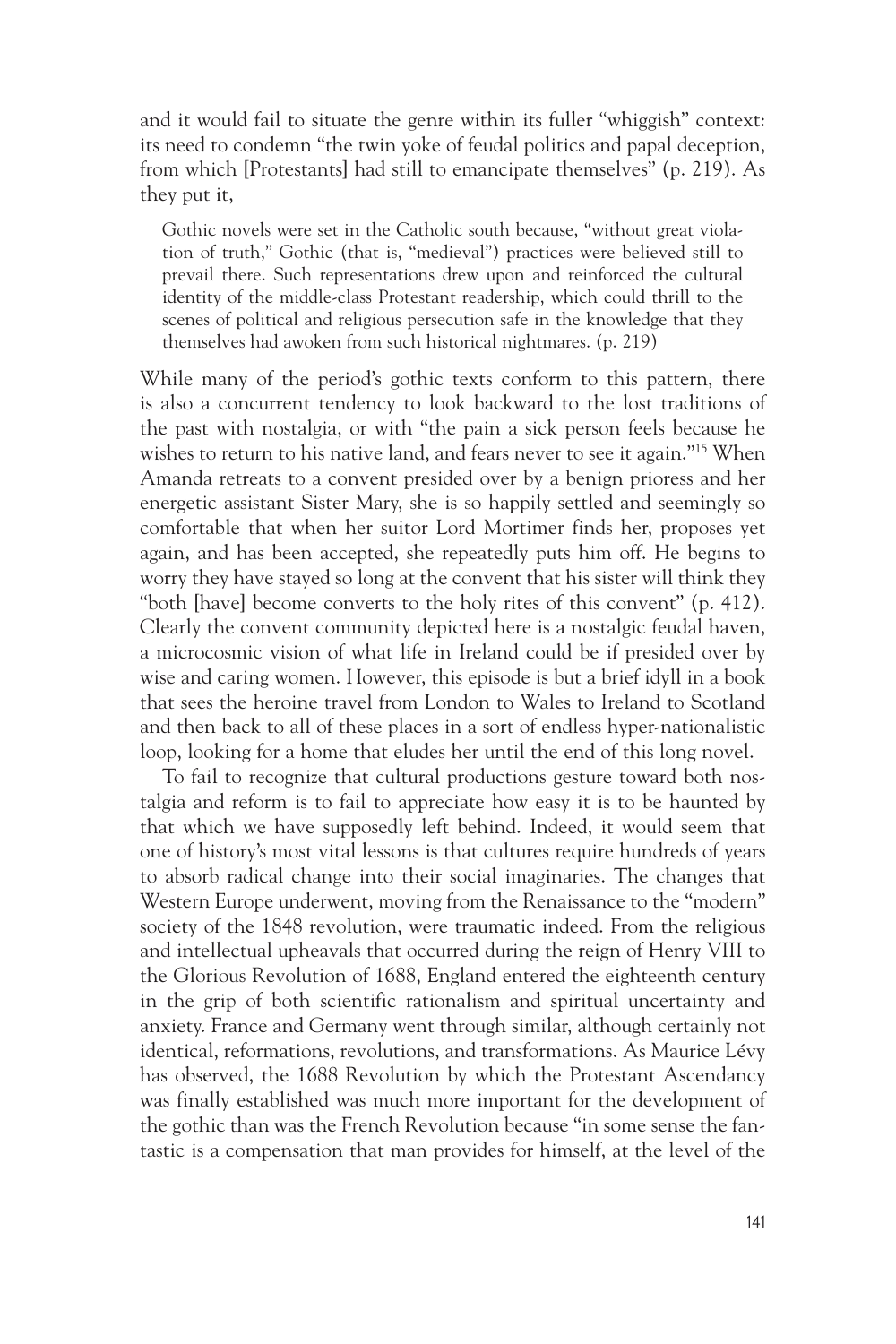and it would fail to situate the genre within its fuller "whiggish" context: its need to condemn "the twin yoke of feudal politics and papal deception, from which [Protestants] had still to emancipate themselves" (p. 219). As they put it,

Gothic novels were set in the Catholic south because, "without great violation of truth," Gothic (that is, "medieval") practices were believed still to prevail there. Such representations drew upon and reinforced the cultural identity of the middle-class Protestant readership, which could thrill to the scenes of political and religious persecution safe in the knowledge that they themselves had awoken from such historical nightmares. (p. 219)

While many of the period's gothic texts conform to this pattern, there is also a concurrent tendency to look backward to the lost traditions of the past with nostalgia, or with "the pain a sick person feels because he wishes to return to his native land, and fears never to see it again."15 When Amanda retreats to a convent presided over by a benign prioress and her energetic assistant Sister Mary, she is so happily settled and seemingly so comfortable that when her suitor Lord Mortimer finds her, proposes yet again, and has been accepted, she repeatedly puts him off. He begins to worry they have stayed so long at the convent that his sister will think they "both [have] become converts to the holy rites of this convent" (p. 412). Clearly the convent community depicted here is a nostalgic feudal haven, a microcosmic vision of what life in Ireland could be if presided over by wise and caring women. However, this episode is but a brief idyll in a book that sees the heroine travel from London to Wales to Ireland to Scotland and then back to all of these places in a sort of endless hyper-nationalistic loop, looking for a home that eludes her until the end of this long novel.

To fail to recognize that cultural productions gesture toward both nostalgia and reform is to fail to appreciate how easy it is to be haunted by that which we have supposedly left behind. Indeed, it would seem that one of history's most vital lessons is that cultures require hundreds of years to absorb radical change into their social imaginaries. The changes that Western Europe underwent, moving from the Renaissance to the "modern" society of the 1848 revolution, were traumatic indeed. From the religious and intellectual upheavals that occurred during the reign of Henry VIII to the Glorious Revolution of 1688, England entered the eighteenth century in the grip of both scientific rationalism and spiritual uncertainty and anxiety. France and Germany went through similar, although certainly not identical, reformations, revolutions, and transformations. As Maurice Lévy has observed, the 1688 Revolution by which the Protestant Ascendancy was finally established was much more important for the development of the gothic than was the French Revolution because "in some sense the fantastic is a compensation that man provides for himself, at the level of the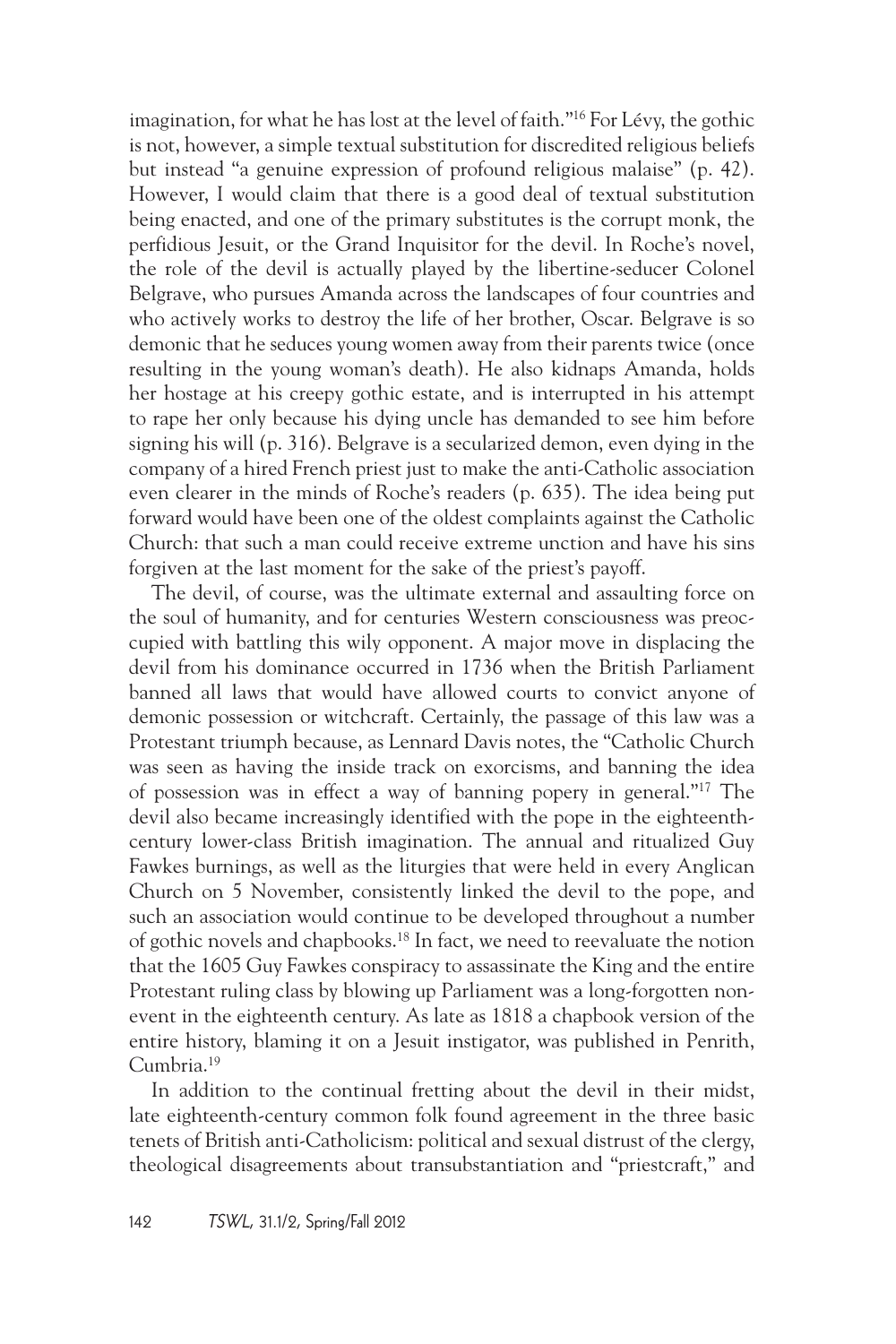imagination, for what he has lost at the level of faith."16 For Lévy, the gothic is not, however, a simple textual substitution for discredited religious beliefs but instead "a genuine expression of profound religious malaise" (p. 42). However, I would claim that there is a good deal of textual substitution being enacted, and one of the primary substitutes is the corrupt monk, the perfidious Jesuit, or the Grand Inquisitor for the devil. In Roche's novel, the role of the devil is actually played by the libertine-seducer Colonel Belgrave, who pursues Amanda across the landscapes of four countries and who actively works to destroy the life of her brother, Oscar. Belgrave is so demonic that he seduces young women away from their parents twice (once resulting in the young woman's death). He also kidnaps Amanda, holds her hostage at his creepy gothic estate, and is interrupted in his attempt to rape her only because his dying uncle has demanded to see him before signing his will (p. 316). Belgrave is a secularized demon, even dying in the company of a hired French priest just to make the anti-Catholic association even clearer in the minds of Roche's readers (p. 635). The idea being put forward would have been one of the oldest complaints against the Catholic Church: that such a man could receive extreme unction and have his sins forgiven at the last moment for the sake of the priest's payoff.

The devil, of course, was the ultimate external and assaulting force on the soul of humanity, and for centuries Western consciousness was preoccupied with battling this wily opponent. A major move in displacing the devil from his dominance occurred in 1736 when the British Parliament banned all laws that would have allowed courts to convict anyone of demonic possession or witchcraft. Certainly, the passage of this law was a Protestant triumph because, as Lennard Davis notes, the "Catholic Church was seen as having the inside track on exorcisms, and banning the idea of possession was in effect a way of banning popery in general."17 The devil also became increasingly identified with the pope in the eighteenthcentury lower-class British imagination. The annual and ritualized Guy Fawkes burnings, as well as the liturgies that were held in every Anglican Church on 5 November, consistently linked the devil to the pope, and such an association would continue to be developed throughout a number of gothic novels and chapbooks.18 In fact, we need to reevaluate the notion that the 1605 Guy Fawkes conspiracy to assassinate the King and the entire Protestant ruling class by blowing up Parliament was a long-forgotten nonevent in the eighteenth century. As late as 1818 a chapbook version of the entire history, blaming it on a Jesuit instigator, was published in Penrith, Cumbria.19

In addition to the continual fretting about the devil in their midst, late eighteenth-century common folk found agreement in the three basic tenets of British anti-Catholicism: political and sexual distrust of the clergy, theological disagreements about transubstantiation and "priestcraft," and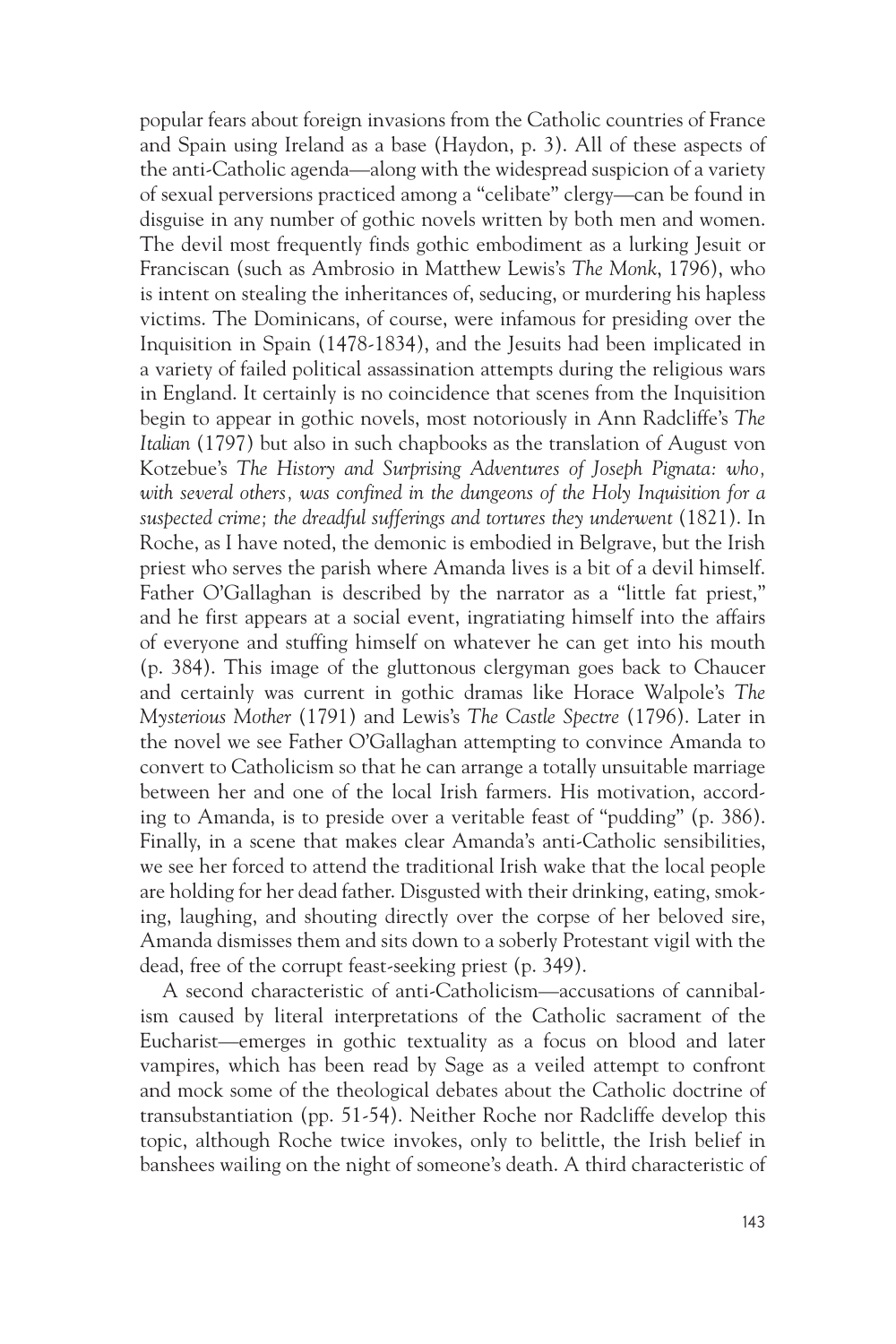popular fears about foreign invasions from the Catholic countries of France and Spain using Ireland as a base (Haydon, p. 3). All of these aspects of the anti-Catholic agenda—along with the widespread suspicion of a variety of sexual perversions practiced among a "celibate" clergy—can be found in disguise in any number of gothic novels written by both men and women. The devil most frequently finds gothic embodiment as a lurking Jesuit or Franciscan (such as Ambrosio in Matthew Lewis's *The Monk*, 1796), who is intent on stealing the inheritances of, seducing, or murdering his hapless victims. The Dominicans, of course, were infamous for presiding over the Inquisition in Spain (1478-1834), and the Jesuits had been implicated in a variety of failed political assassination attempts during the religious wars in England. It certainly is no coincidence that scenes from the Inquisition begin to appear in gothic novels, most notoriously in Ann Radcliffe's *The Italian* (1797) but also in such chapbooks as the translation of August von Kotzebue's *The History and Surprising Adventures of Joseph Pignata: who, with several others, was confined in the dungeons of the Holy Inquisition for a suspected crime; the dreadful sufferings and tortures they underwent* (1821). In Roche, as I have noted, the demonic is embodied in Belgrave, but the Irish priest who serves the parish where Amanda lives is a bit of a devil himself. Father O'Gallaghan is described by the narrator as a "little fat priest," and he first appears at a social event, ingratiating himself into the affairs of everyone and stuffing himself on whatever he can get into his mouth (p. 384). This image of the gluttonous clergyman goes back to Chaucer and certainly was current in gothic dramas like Horace Walpole's *The Mysterious Mother* (1791) and Lewis's *The Castle Spectre* (1796). Later in the novel we see Father O'Gallaghan attempting to convince Amanda to convert to Catholicism so that he can arrange a totally unsuitable marriage between her and one of the local Irish farmers. His motivation, according to Amanda, is to preside over a veritable feast of "pudding" (p. 386). Finally, in a scene that makes clear Amanda's anti-Catholic sensibilities, we see her forced to attend the traditional Irish wake that the local people are holding for her dead father. Disgusted with their drinking, eating, smoking, laughing, and shouting directly over the corpse of her beloved sire, Amanda dismisses them and sits down to a soberly Protestant vigil with the dead, free of the corrupt feast-seeking priest (p. 349).

A second characteristic of anti-Catholicism—accusations of cannibalism caused by literal interpretations of the Catholic sacrament of the Eucharist—emerges in gothic textuality as a focus on blood and later vampires, which has been read by Sage as a veiled attempt to confront and mock some of the theological debates about the Catholic doctrine of transubstantiation (pp. 51-54). Neither Roche nor Radcliffe develop this topic, although Roche twice invokes, only to belittle, the Irish belief in banshees wailing on the night of someone's death. A third characteristic of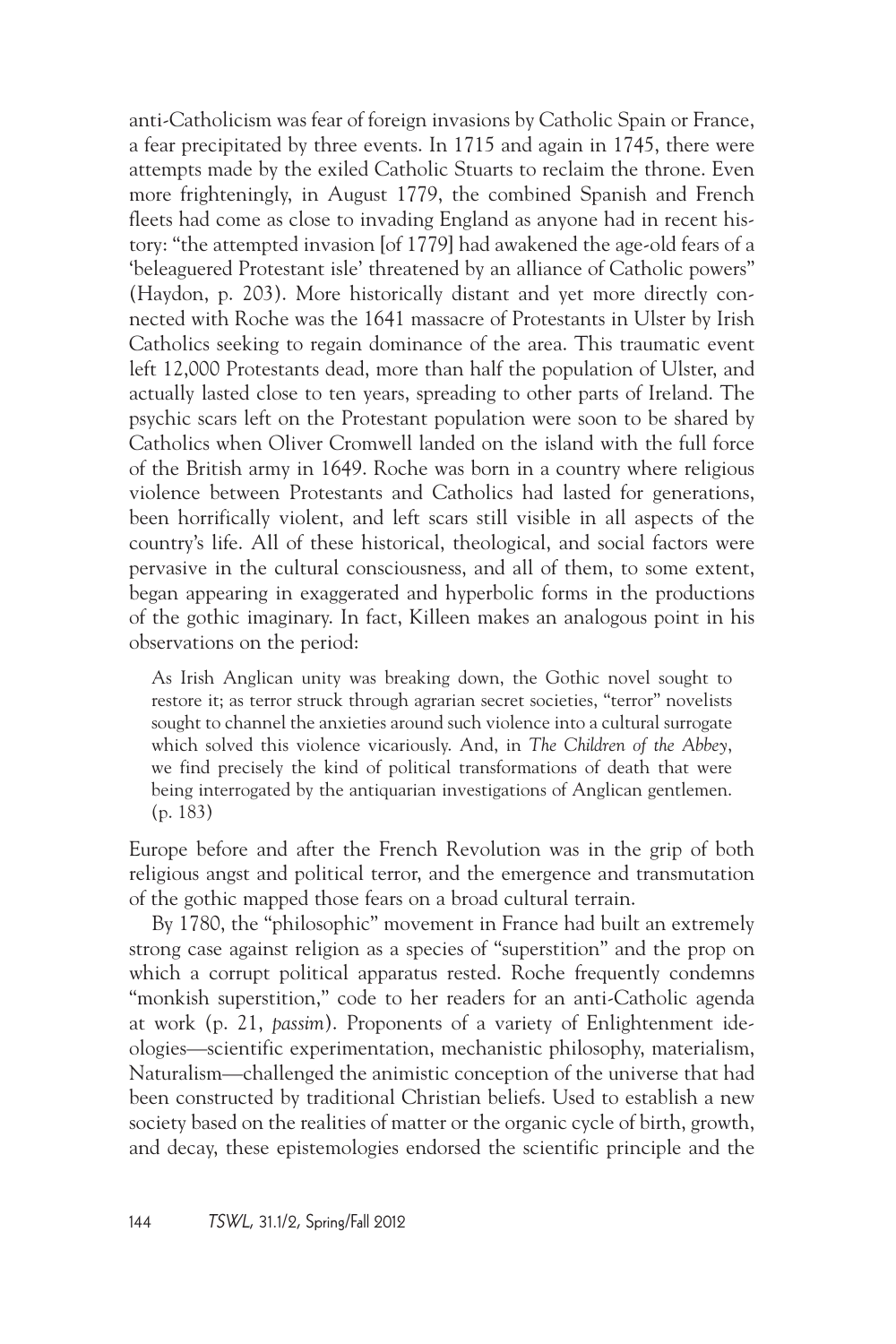anti-Catholicism was fear of foreign invasions by Catholic Spain or France, a fear precipitated by three events. In 1715 and again in 1745, there were attempts made by the exiled Catholic Stuarts to reclaim the throne. Even more frighteningly, in August 1779, the combined Spanish and French fleets had come as close to invading England as anyone had in recent history: "the attempted invasion [of 1779] had awakened the age-old fears of a 'beleaguered Protestant isle' threatened by an alliance of Catholic powers" (Haydon, p. 203). More historically distant and yet more directly connected with Roche was the 1641 massacre of Protestants in Ulster by Irish Catholics seeking to regain dominance of the area. This traumatic event left 12,000 Protestants dead, more than half the population of Ulster, and actually lasted close to ten years, spreading to other parts of Ireland. The psychic scars left on the Protestant population were soon to be shared by Catholics when Oliver Cromwell landed on the island with the full force of the British army in 1649. Roche was born in a country where religious violence between Protestants and Catholics had lasted for generations, been horrifically violent, and left scars still visible in all aspects of the country's life. All of these historical, theological, and social factors were pervasive in the cultural consciousness, and all of them, to some extent, began appearing in exaggerated and hyperbolic forms in the productions of the gothic imaginary. In fact, Killeen makes an analogous point in his observations on the period:

As Irish Anglican unity was breaking down, the Gothic novel sought to restore it; as terror struck through agrarian secret societies, "terror" novelists sought to channel the anxieties around such violence into a cultural surrogate which solved this violence vicariously. And, in *The Children of the Abbey*, we find precisely the kind of political transformations of death that were being interrogated by the antiquarian investigations of Anglican gentlemen. (p. 183)

Europe before and after the French Revolution was in the grip of both religious angst and political terror, and the emergence and transmutation of the gothic mapped those fears on a broad cultural terrain.

By 1780, the "philosophic" movement in France had built an extremely strong case against religion as a species of "superstition" and the prop on which a corrupt political apparatus rested. Roche frequently condemns "monkish superstition," code to her readers for an anti-Catholic agenda at work (p. 21, *passim*). Proponents of a variety of Enlightenment ideologies—scientific experimentation, mechanistic philosophy, materialism, Naturalism—challenged the animistic conception of the universe that had been constructed by traditional Christian beliefs. Used to establish a new society based on the realities of matter or the organic cycle of birth, growth, and decay, these epistemologies endorsed the scientific principle and the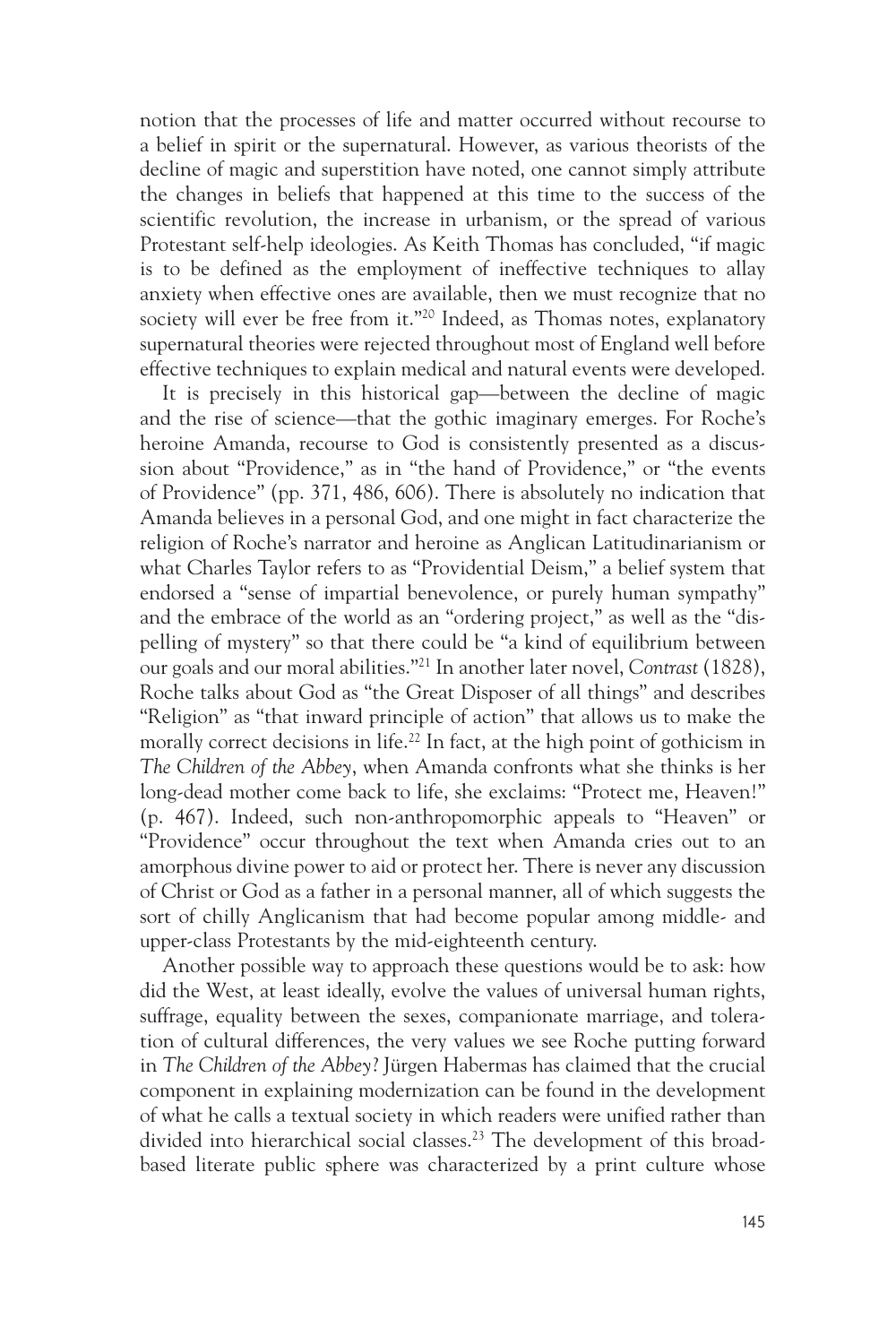notion that the processes of life and matter occurred without recourse to a belief in spirit or the supernatural. However, as various theorists of the decline of magic and superstition have noted, one cannot simply attribute the changes in beliefs that happened at this time to the success of the scientific revolution, the increase in urbanism, or the spread of various Protestant self-help ideologies. As Keith Thomas has concluded, "if magic is to be defined as the employment of ineffective techniques to allay anxiety when effective ones are available, then we must recognize that no society will ever be free from it."20 Indeed, as Thomas notes, explanatory supernatural theories were rejected throughout most of England well before effective techniques to explain medical and natural events were developed.

It is precisely in this historical gap—between the decline of magic and the rise of science—that the gothic imaginary emerges. For Roche's heroine Amanda, recourse to God is consistently presented as a discussion about "Providence," as in "the hand of Providence," or "the events of Providence" (pp. 371, 486, 606). There is absolutely no indication that Amanda believes in a personal God, and one might in fact characterize the religion of Roche's narrator and heroine as Anglican Latitudinarianism or what Charles Taylor refers to as "Providential Deism," a belief system that endorsed a "sense of impartial benevolence, or purely human sympathy" and the embrace of the world as an "ordering project," as well as the "dispelling of mystery" so that there could be "a kind of equilibrium between our goals and our moral abilities."21 In another later novel, *Contrast* (1828), Roche talks about God as "the Great Disposer of all things" and describes "Religion" as "that inward principle of action" that allows us to make the morally correct decisions in life.<sup>22</sup> In fact, at the high point of gothicism in *The Children of the Abbey*, when Amanda confronts what she thinks is her long-dead mother come back to life, she exclaims: "Protect me, Heaven!" (p. 467). Indeed, such non-anthropomorphic appeals to "Heaven" or "Providence" occur throughout the text when Amanda cries out to an amorphous divine power to aid or protect her. There is never any discussion of Christ or God as a father in a personal manner, all of which suggests the sort of chilly Anglicanism that had become popular among middle- and upper-class Protestants by the mid-eighteenth century.

Another possible way to approach these questions would be to ask: how did the West, at least ideally, evolve the values of universal human rights, suffrage, equality between the sexes, companionate marriage, and toleration of cultural differences, the very values we see Roche putting forward in *The Children of the Abbey*? Jürgen Habermas has claimed that the crucial component in explaining modernization can be found in the development of what he calls a textual society in which readers were unified rather than divided into hierarchical social classes.<sup>23</sup> The development of this broadbased literate public sphere was characterized by a print culture whose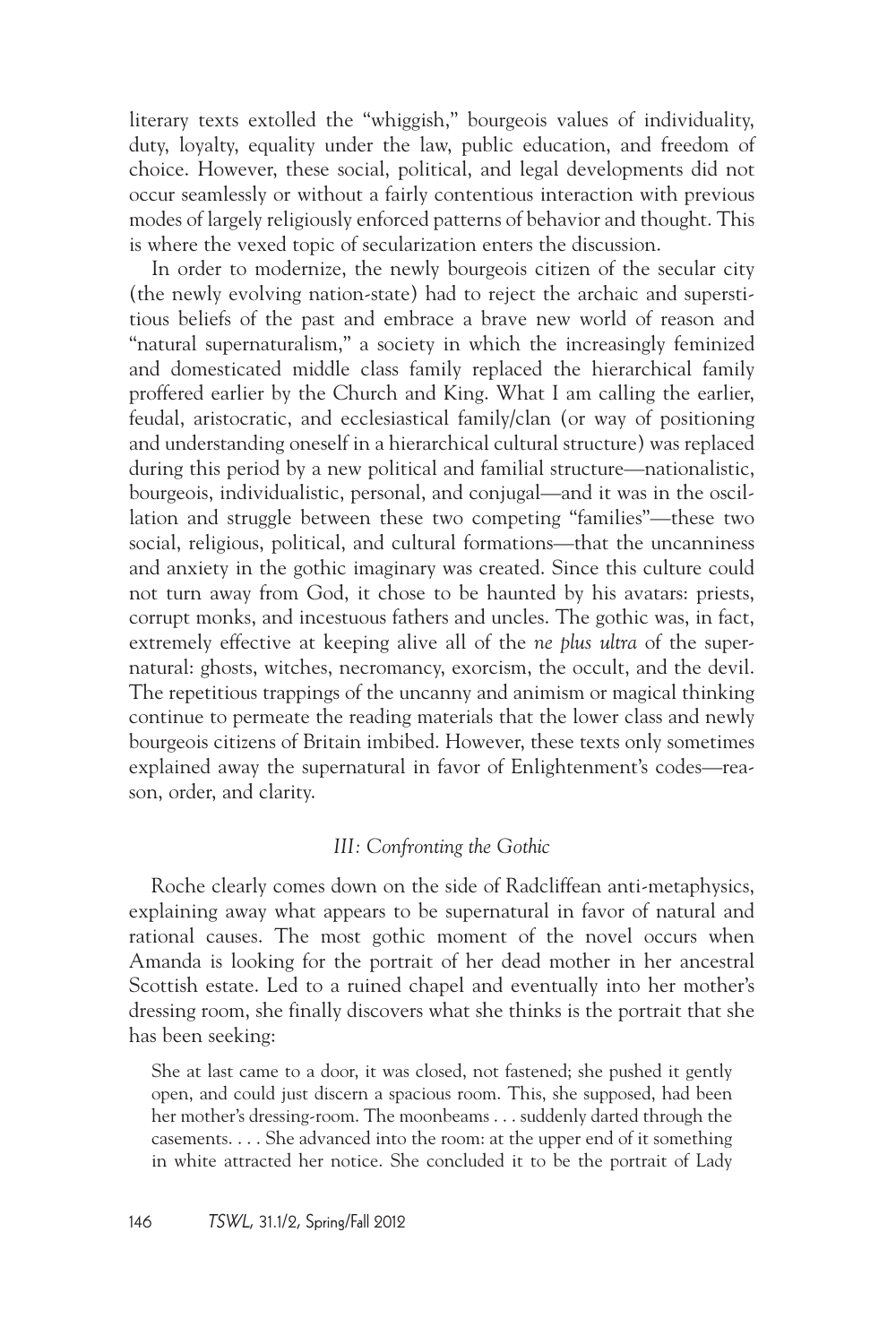literary texts extolled the "whiggish," bourgeois values of individuality, duty, loyalty, equality under the law, public education, and freedom of choice. However, these social, political, and legal developments did not occur seamlessly or without a fairly contentious interaction with previous modes of largely religiously enforced patterns of behavior and thought. This is where the vexed topic of secularization enters the discussion.

In order to modernize, the newly bourgeois citizen of the secular city (the newly evolving nation-state) had to reject the archaic and superstitious beliefs of the past and embrace a brave new world of reason and "natural supernaturalism," a society in which the increasingly feminized and domesticated middle class family replaced the hierarchical family proffered earlier by the Church and King. What I am calling the earlier, feudal, aristocratic, and ecclesiastical family/clan (or way of positioning and understanding oneself in a hierarchical cultural structure) was replaced during this period by a new political and familial structure—nationalistic, bourgeois, individualistic, personal, and conjugal—and it was in the oscillation and struggle between these two competing "families"—these two social, religious, political, and cultural formations—that the uncanniness and anxiety in the gothic imaginary was created. Since this culture could not turn away from God, it chose to be haunted by his avatars: priests, corrupt monks, and incestuous fathers and uncles. The gothic was, in fact, extremely effective at keeping alive all of the *ne plus ultra* of the supernatural: ghosts, witches, necromancy, exorcism, the occult, and the devil. The repetitious trappings of the uncanny and animism or magical thinking continue to permeate the reading materials that the lower class and newly bourgeois citizens of Britain imbibed. However, these texts only sometimes explained away the supernatural in favor of Enlightenment's codes—reason, order, and clarity.

### *III: Confronting the Gothic*

Roche clearly comes down on the side of Radcliffean anti-metaphysics, explaining away what appears to be supernatural in favor of natural and rational causes. The most gothic moment of the novel occurs when Amanda is looking for the portrait of her dead mother in her ancestral Scottish estate. Led to a ruined chapel and eventually into her mother's dressing room, she finally discovers what she thinks is the portrait that she has been seeking:

She at last came to a door, it was closed, not fastened; she pushed it gently open, and could just discern a spacious room. This, she supposed, had been her mother's dressing-room. The moonbeams . . . suddenly darted through the casements. . . . She advanced into the room: at the upper end of it something in white attracted her notice. She concluded it to be the portrait of Lady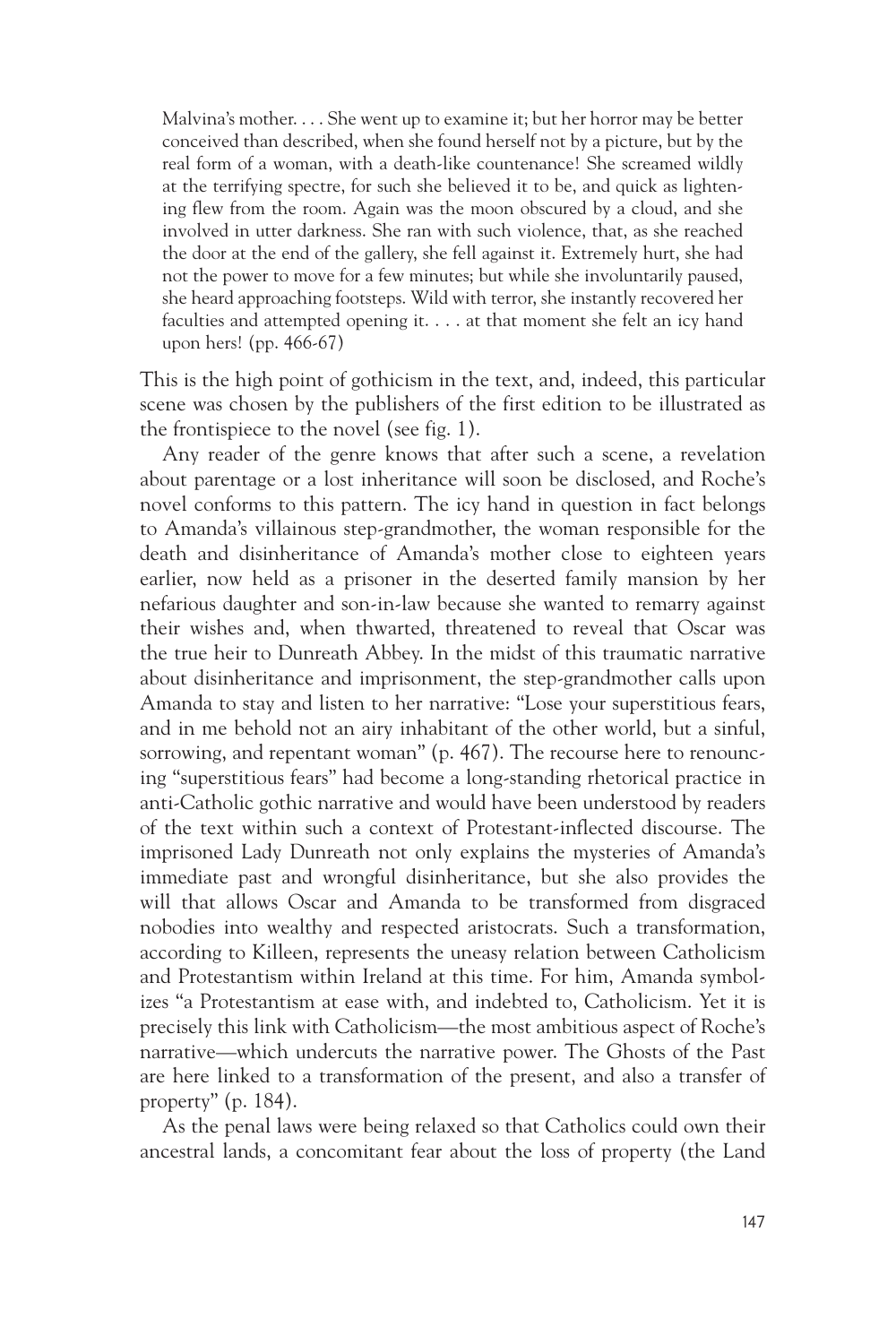Malvina's mother. . . . She went up to examine it; but her horror may be better conceived than described, when she found herself not by a picture, but by the real form of a woman, with a death-like countenance! She screamed wildly at the terrifying spectre, for such she believed it to be, and quick as lightening flew from the room. Again was the moon obscured by a cloud, and she involved in utter darkness. She ran with such violence, that, as she reached the door at the end of the gallery, she fell against it. Extremely hurt, she had not the power to move for a few minutes; but while she involuntarily paused, she heard approaching footsteps. Wild with terror, she instantly recovered her faculties and attempted opening it. . . . at that moment she felt an icy hand upon hers! (pp. 466-67)

This is the high point of gothicism in the text, and, indeed, this particular scene was chosen by the publishers of the first edition to be illustrated as the frontispiece to the novel (see fig. 1).

Any reader of the genre knows that after such a scene, a revelation about parentage or a lost inheritance will soon be disclosed, and Roche's novel conforms to this pattern. The icy hand in question in fact belongs to Amanda's villainous step-grandmother, the woman responsible for the death and disinheritance of Amanda's mother close to eighteen years earlier, now held as a prisoner in the deserted family mansion by her nefarious daughter and son-in-law because she wanted to remarry against their wishes and, when thwarted, threatened to reveal that Oscar was the true heir to Dunreath Abbey. In the midst of this traumatic narrative about disinheritance and imprisonment, the step-grandmother calls upon Amanda to stay and listen to her narrative: "Lose your superstitious fears, and in me behold not an airy inhabitant of the other world, but a sinful, sorrowing, and repentant woman" (p. 467). The recourse here to renouncing "superstitious fears" had become a long-standing rhetorical practice in anti-Catholic gothic narrative and would have been understood by readers of the text within such a context of Protestant-inflected discourse. The imprisoned Lady Dunreath not only explains the mysteries of Amanda's immediate past and wrongful disinheritance, but she also provides the will that allows Oscar and Amanda to be transformed from disgraced nobodies into wealthy and respected aristocrats. Such a transformation, according to Killeen, represents the uneasy relation between Catholicism and Protestantism within Ireland at this time. For him, Amanda symbolizes "a Protestantism at ease with, and indebted to, Catholicism. Yet it is precisely this link with Catholicism—the most ambitious aspect of Roche's narrative—which undercuts the narrative power. The Ghosts of the Past are here linked to a transformation of the present, and also a transfer of property" (p. 184).

As the penal laws were being relaxed so that Catholics could own their ancestral lands, a concomitant fear about the loss of property (the Land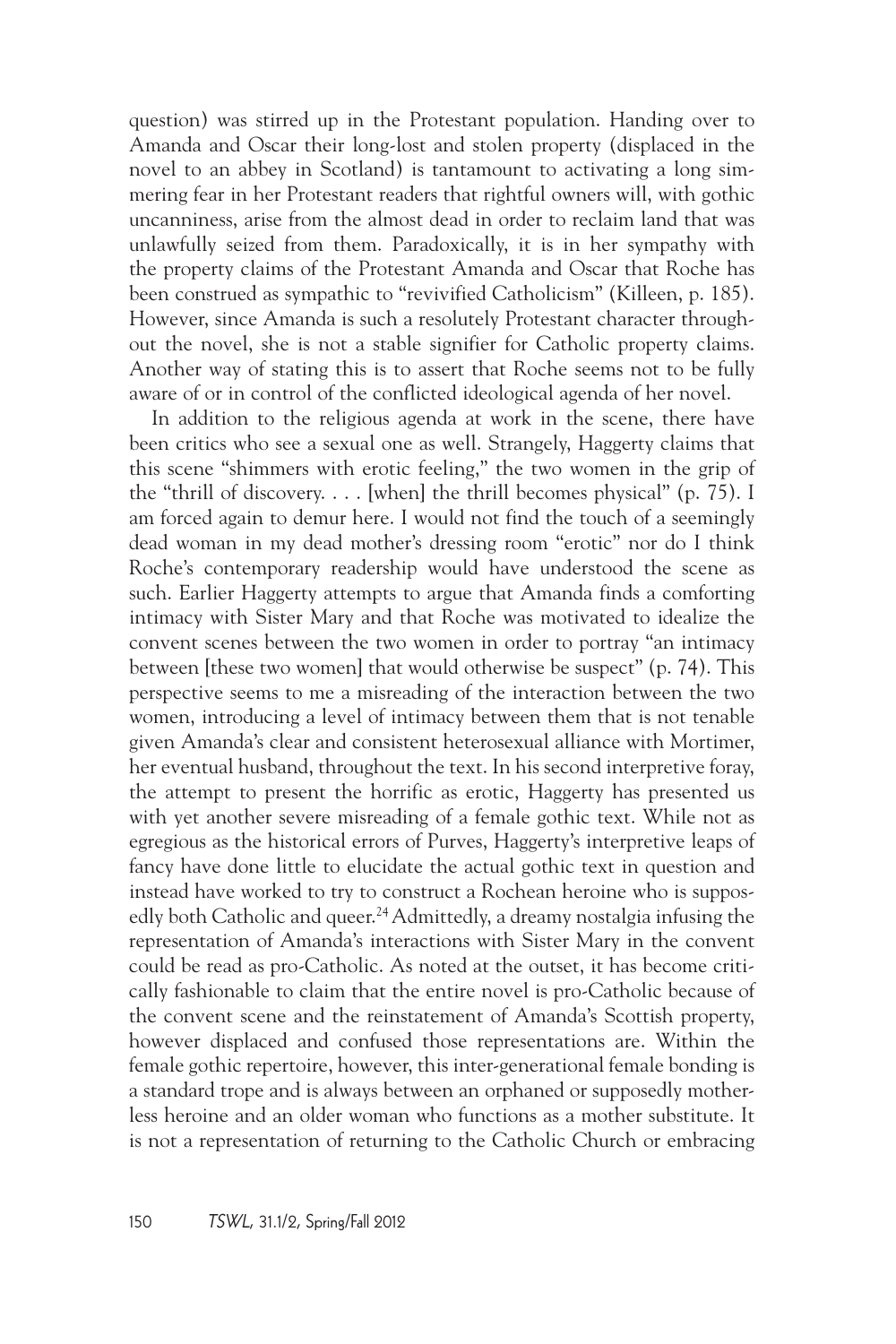question) was stirred up in the Protestant population. Handing over to Amanda and Oscar their long-lost and stolen property (displaced in the novel to an abbey in Scotland) is tantamount to activating a long simmering fear in her Protestant readers that rightful owners will, with gothic uncanniness, arise from the almost dead in order to reclaim land that was unlawfully seized from them. Paradoxically, it is in her sympathy with the property claims of the Protestant Amanda and Oscar that Roche has been construed as sympathic to "revivified Catholicism" (Killeen, p. 185). However, since Amanda is such a resolutely Protestant character throughout the novel, she is not a stable signifier for Catholic property claims. Another way of stating this is to assert that Roche seems not to be fully aware of or in control of the conflicted ideological agenda of her novel.

In addition to the religious agenda at work in the scene, there have been critics who see a sexual one as well. Strangely, Haggerty claims that this scene "shimmers with erotic feeling," the two women in the grip of the "thrill of discovery.... [when] the thrill becomes physical" (p.  $75$ ). I am forced again to demur here. I would not find the touch of a seemingly dead woman in my dead mother's dressing room "erotic" nor do I think Roche's contemporary readership would have understood the scene as such. Earlier Haggerty attempts to argue that Amanda finds a comforting intimacy with Sister Mary and that Roche was motivated to idealize the convent scenes between the two women in order to portray "an intimacy between [these two women] that would otherwise be suspect" (p. 74). This perspective seems to me a misreading of the interaction between the two women, introducing a level of intimacy between them that is not tenable given Amanda's clear and consistent heterosexual alliance with Mortimer, her eventual husband, throughout the text. In his second interpretive foray, the attempt to present the horrific as erotic, Haggerty has presented us with yet another severe misreading of a female gothic text. While not as egregious as the historical errors of Purves, Haggerty's interpretive leaps of fancy have done little to elucidate the actual gothic text in question and instead have worked to try to construct a Rochean heroine who is supposedly both Catholic and queer.<sup>24</sup> Admittedly, a dreamy nostalgia infusing the representation of Amanda's interactions with Sister Mary in the convent could be read as pro-Catholic. As noted at the outset, it has become critically fashionable to claim that the entire novel is pro-Catholic because of the convent scene and the reinstatement of Amanda's Scottish property, however displaced and confused those representations are. Within the female gothic repertoire, however, this inter-generational female bonding is a standard trope and is always between an orphaned or supposedly motherless heroine and an older woman who functions as a mother substitute. It is not a representation of returning to the Catholic Church or embracing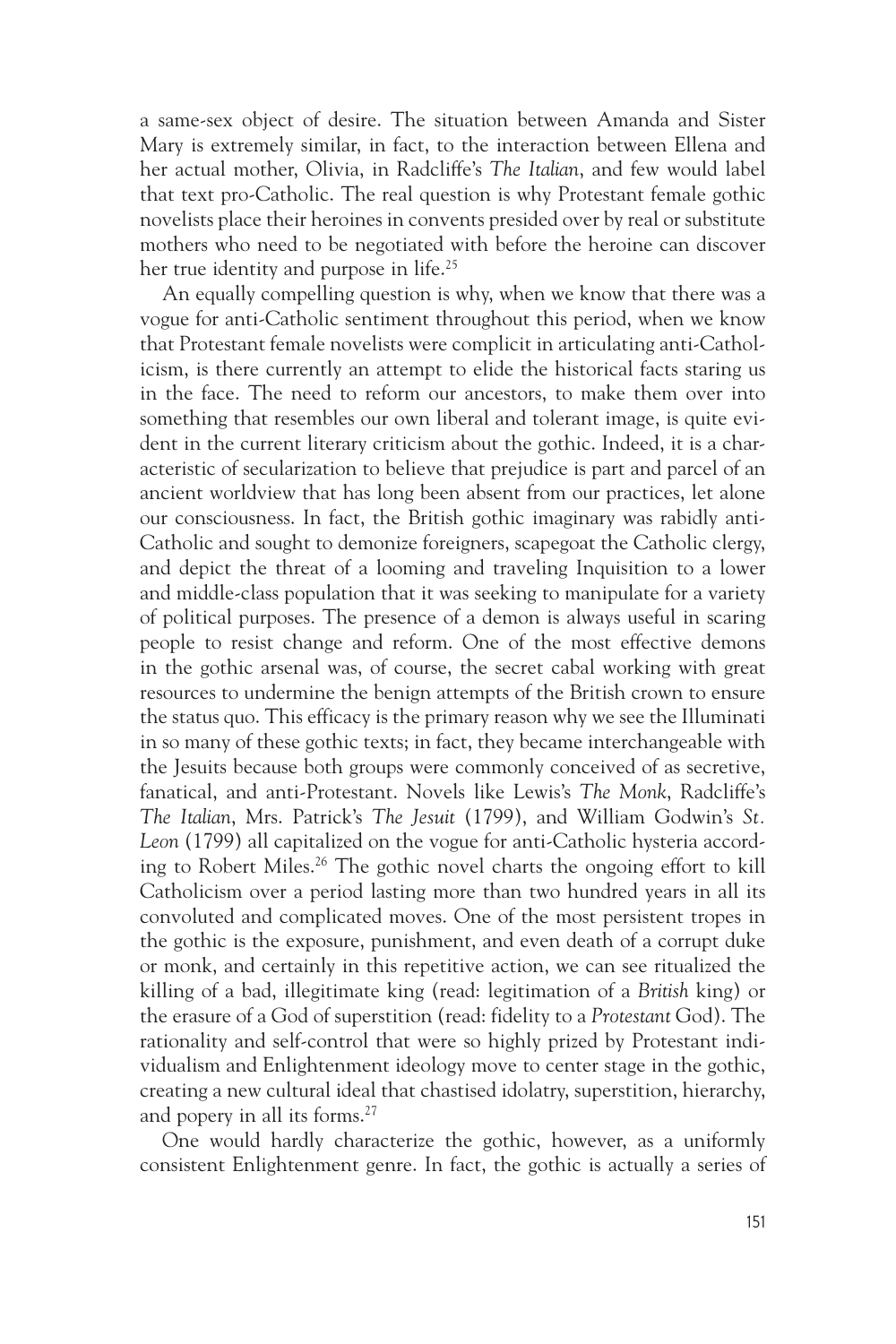a same-sex object of desire. The situation between Amanda and Sister Mary is extremely similar, in fact, to the interaction between Ellena and her actual mother, Olivia, in Radcliffe's *The Italian*, and few would label that text pro-Catholic. The real question is why Protestant female gothic novelists place their heroines in convents presided over by real or substitute mothers who need to be negotiated with before the heroine can discover her true identity and purpose in life.<sup>25</sup>

An equally compelling question is why, when we know that there was a vogue for anti-Catholic sentiment throughout this period, when we know that Protestant female novelists were complicit in articulating anti-Catholicism, is there currently an attempt to elide the historical facts staring us in the face. The need to reform our ancestors, to make them over into something that resembles our own liberal and tolerant image, is quite evident in the current literary criticism about the gothic. Indeed, it is a characteristic of secularization to believe that prejudice is part and parcel of an ancient worldview that has long been absent from our practices, let alone our consciousness. In fact, the British gothic imaginary was rabidly anti-Catholic and sought to demonize foreigners, scapegoat the Catholic clergy, and depict the threat of a looming and traveling Inquisition to a lower and middle-class population that it was seeking to manipulate for a variety of political purposes. The presence of a demon is always useful in scaring people to resist change and reform. One of the most effective demons in the gothic arsenal was, of course, the secret cabal working with great resources to undermine the benign attempts of the British crown to ensure the status quo. This efficacy is the primary reason why we see the Illuminati in so many of these gothic texts; in fact, they became interchangeable with the Jesuits because both groups were commonly conceived of as secretive, fanatical, and anti-Protestant. Novels like Lewis's *The Monk*, Radcliffe's *The Italian*, Mrs. Patrick's *The Jesuit* (1799), and William Godwin's *St. Leon* (1799) all capitalized on the vogue for anti-Catholic hysteria according to Robert Miles.26 The gothic novel charts the ongoing effort to kill Catholicism over a period lasting more than two hundred years in all its convoluted and complicated moves. One of the most persistent tropes in the gothic is the exposure, punishment, and even death of a corrupt duke or monk, and certainly in this repetitive action, we can see ritualized the killing of a bad, illegitimate king (read: legitimation of a *British* king) or the erasure of a God of superstition (read: fidelity to a *Protestant* God). The rationality and self-control that were so highly prized by Protestant individualism and Enlightenment ideology move to center stage in the gothic, creating a new cultural ideal that chastised idolatry, superstition, hierarchy, and popery in all its forms.<sup>27</sup>

One would hardly characterize the gothic, however, as a uniformly consistent Enlightenment genre. In fact, the gothic is actually a series of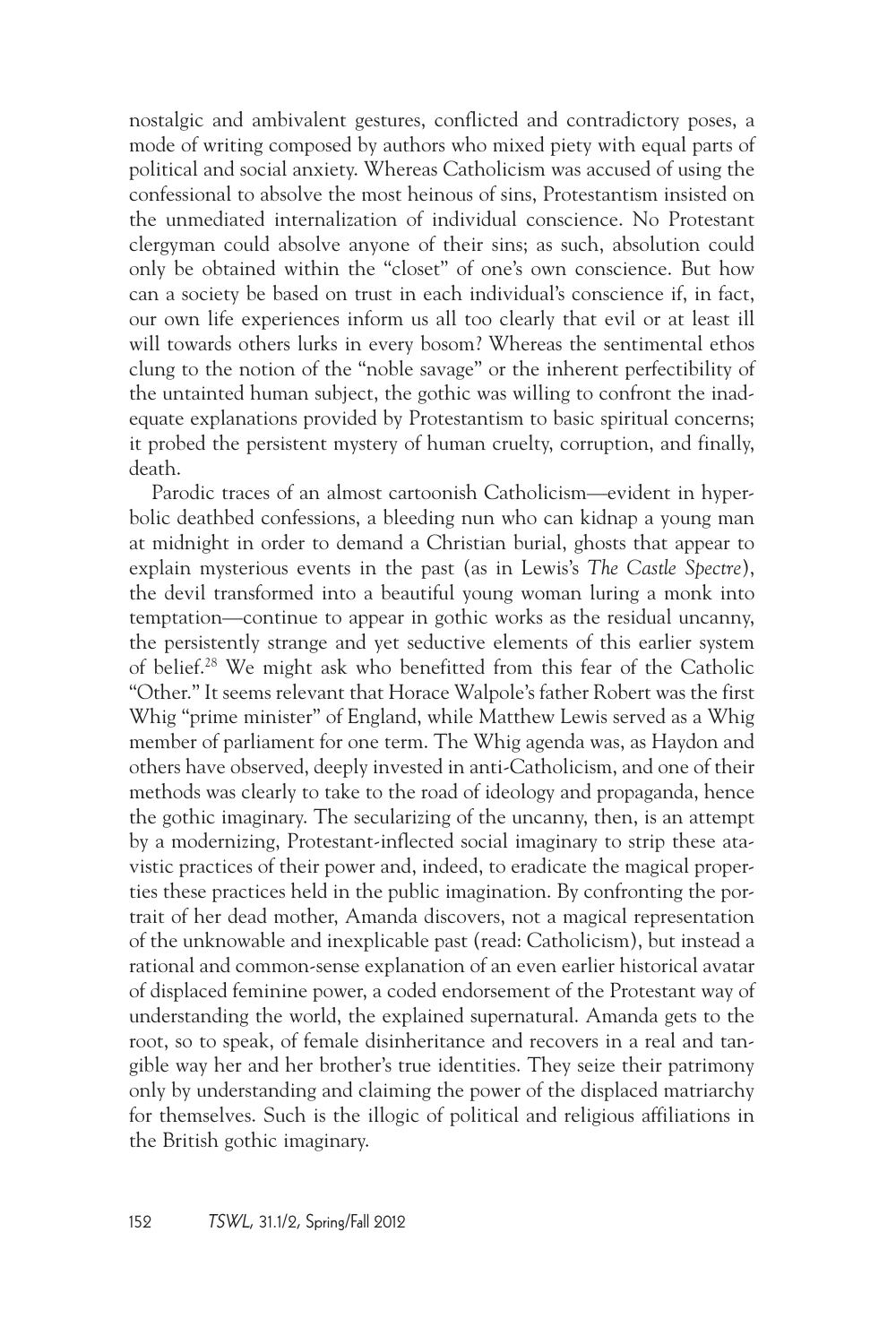nostalgic and ambivalent gestures, conflicted and contradictory poses, a mode of writing composed by authors who mixed piety with equal parts of political and social anxiety. Whereas Catholicism was accused of using the confessional to absolve the most heinous of sins, Protestantism insisted on the unmediated internalization of individual conscience. No Protestant clergyman could absolve anyone of their sins; as such, absolution could only be obtained within the "closet" of one's own conscience. But how can a society be based on trust in each individual's conscience if, in fact, our own life experiences inform us all too clearly that evil or at least ill will towards others lurks in every bosom? Whereas the sentimental ethos clung to the notion of the "noble savage" or the inherent perfectibility of the untainted human subject, the gothic was willing to confront the inadequate explanations provided by Protestantism to basic spiritual concerns; it probed the persistent mystery of human cruelty, corruption, and finally, death.

Parodic traces of an almost cartoonish Catholicism—evident in hyperbolic deathbed confessions, a bleeding nun who can kidnap a young man at midnight in order to demand a Christian burial, ghosts that appear to explain mysterious events in the past (as in Lewis's *The Castle Spectre*), the devil transformed into a beautiful young woman luring a monk into temptation—continue to appear in gothic works as the residual uncanny, the persistently strange and yet seductive elements of this earlier system of belief.28 We might ask who benefitted from this fear of the Catholic "Other." It seems relevant that Horace Walpole's father Robert was the first Whig "prime minister" of England, while Matthew Lewis served as a Whig member of parliament for one term. The Whig agenda was, as Haydon and others have observed, deeply invested in anti-Catholicism, and one of their methods was clearly to take to the road of ideology and propaganda, hence the gothic imaginary. The secularizing of the uncanny, then, is an attempt by a modernizing, Protestant-inflected social imaginary to strip these atavistic practices of their power and, indeed, to eradicate the magical properties these practices held in the public imagination. By confronting the portrait of her dead mother, Amanda discovers, not a magical representation of the unknowable and inexplicable past (read: Catholicism), but instead a rational and common-sense explanation of an even earlier historical avatar of displaced feminine power, a coded endorsement of the Protestant way of understanding the world, the explained supernatural. Amanda gets to the root, so to speak, of female disinheritance and recovers in a real and tangible way her and her brother's true identities. They seize their patrimony only by understanding and claiming the power of the displaced matriarchy for themselves. Such is the illogic of political and religious affiliations in the British gothic imaginary.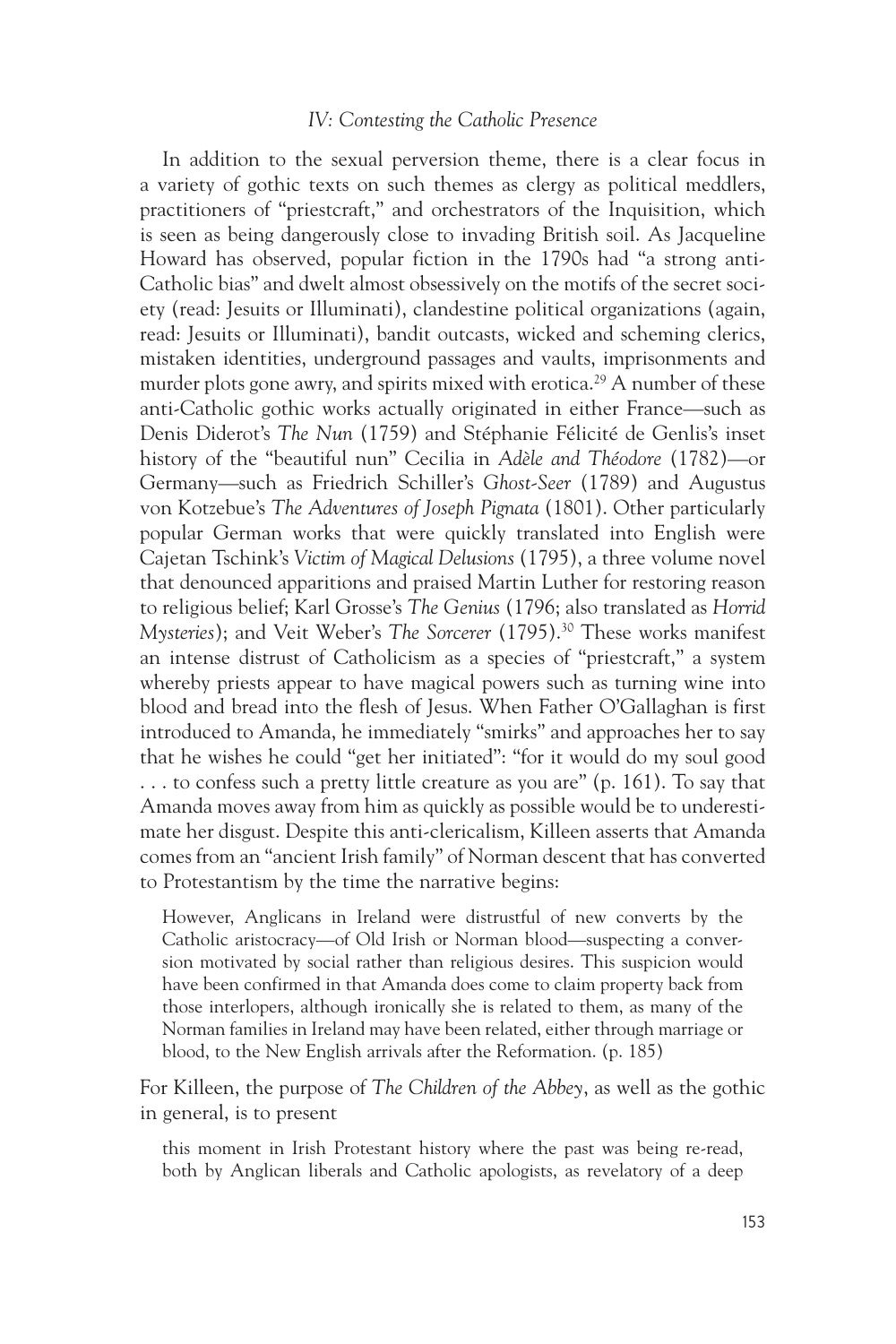#### *IV: Contesting the Catholic Presence*

In addition to the sexual perversion theme, there is a clear focus in a variety of gothic texts on such themes as clergy as political meddlers, practitioners of "priestcraft," and orchestrators of the Inquisition, which is seen as being dangerously close to invading British soil. As Jacqueline Howard has observed, popular fiction in the 1790s had "a strong anti-Catholic bias" and dwelt almost obsessively on the motifs of the secret society (read: Jesuits or Illuminati), clandestine political organizations (again, read: Jesuits or Illuminati), bandit outcasts, wicked and scheming clerics, mistaken identities, underground passages and vaults, imprisonments and murder plots gone awry, and spirits mixed with erotica.<sup>29</sup> A number of these anti-Catholic gothic works actually originated in either France—such as Denis Diderot's *The Nun* (1759) and Stéphanie Félicité de Genlis's inset history of the "beautiful nun" Cecilia in *Adèle and Théodore* (1782)—or Germany—such as Friedrich Schiller's *Ghost-Seer* (1789) and Augustus von Kotzebue's *The Adventures of Joseph Pignata* (1801). Other particularly popular German works that were quickly translated into English were Cajetan Tschink's *Victim of Magical Delusions* (1795), a three volume novel that denounced apparitions and praised Martin Luther for restoring reason to religious belief; Karl Grosse's *The Genius* (1796; also translated as *Horrid Mysteries*); and Veit Weber's *The Sorcerer* (1795).<sup>30</sup> These works manifest an intense distrust of Catholicism as a species of "priestcraft," a system whereby priests appear to have magical powers such as turning wine into blood and bread into the flesh of Jesus. When Father O'Gallaghan is first introduced to Amanda, he immediately "smirks" and approaches her to say that he wishes he could "get her initiated": "for it would do my soul good  $\dots$  to confess such a pretty little creature as you are" (p. 161). To say that Amanda moves away from him as quickly as possible would be to underestimate her disgust. Despite this anti-clericalism, Killeen asserts that Amanda comes from an "ancient Irish family" of Norman descent that has converted to Protestantism by the time the narrative begins:

However, Anglicans in Ireland were distrustful of new converts by the Catholic aristocracy—of Old Irish or Norman blood—suspecting a conversion motivated by social rather than religious desires. This suspicion would have been confirmed in that Amanda does come to claim property back from those interlopers, although ironically she is related to them, as many of the Norman families in Ireland may have been related, either through marriage or blood, to the New English arrivals after the Reformation. (p. 185)

For Killeen, the purpose of *The Children of the Abbey*, as well as the gothic in general, is to present

this moment in Irish Protestant history where the past was being re-read, both by Anglican liberals and Catholic apologists, as revelatory of a deep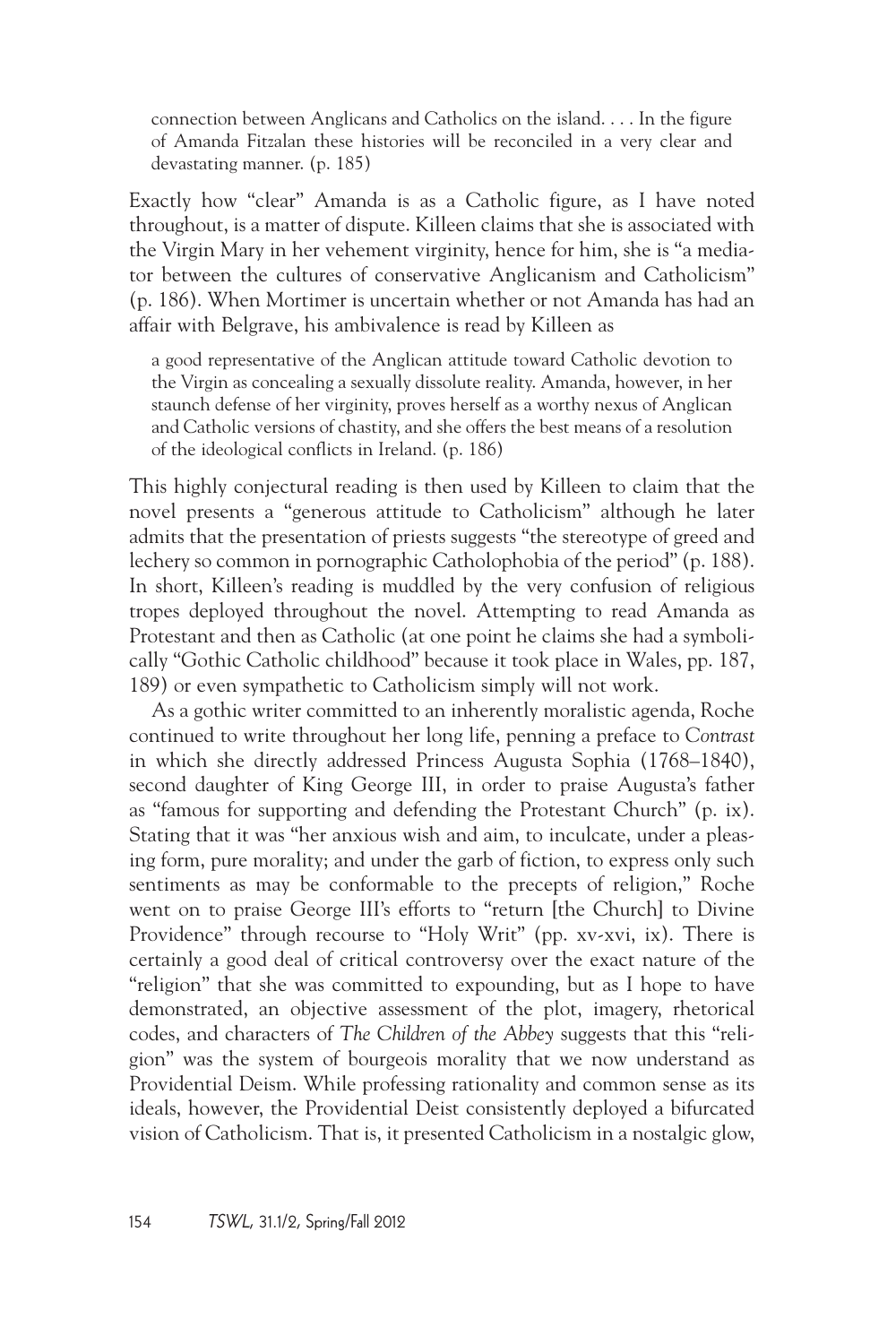connection between Anglicans and Catholics on the island. . . . In the figure of Amanda Fitzalan these histories will be reconciled in a very clear and devastating manner. (p. 185)

Exactly how "clear" Amanda is as a Catholic figure, as I have noted throughout, is a matter of dispute. Killeen claims that she is associated with the Virgin Mary in her vehement virginity, hence for him, she is "a mediator between the cultures of conservative Anglicanism and Catholicism" (p. 186). When Mortimer is uncertain whether or not Amanda has had an affair with Belgrave, his ambivalence is read by Killeen as

a good representative of the Anglican attitude toward Catholic devotion to the Virgin as concealing a sexually dissolute reality. Amanda, however, in her staunch defense of her virginity, proves herself as a worthy nexus of Anglican and Catholic versions of chastity, and she offers the best means of a resolution of the ideological conflicts in Ireland. (p. 186)

This highly conjectural reading is then used by Killeen to claim that the novel presents a "generous attitude to Catholicism" although he later admits that the presentation of priests suggests "the stereotype of greed and lechery so common in pornographic Catholophobia of the period" (p. 188). In short, Killeen's reading is muddled by the very confusion of religious tropes deployed throughout the novel. Attempting to read Amanda as Protestant and then as Catholic (at one point he claims she had a symbolically "Gothic Catholic childhood" because it took place in Wales, pp. 187, 189) or even sympathetic to Catholicism simply will not work.

As a gothic writer committed to an inherently moralistic agenda, Roche continued to write throughout her long life, penning a preface to *Contrast* in which she directly addressed Princess Augusta Sophia (1768–1840), second daughter of King George III, in order to praise Augusta's father as "famous for supporting and defending the Protestant Church" (p. ix). Stating that it was "her anxious wish and aim, to inculcate, under a pleasing form, pure morality; and under the garb of fiction, to express only such sentiments as may be conformable to the precepts of religion," Roche went on to praise George III's efforts to "return [the Church] to Divine Providence" through recourse to "Holy Writ" (pp. xv-xvi, ix). There is certainly a good deal of critical controversy over the exact nature of the "religion" that she was committed to expounding, but as I hope to have demonstrated, an objective assessment of the plot, imagery, rhetorical codes, and characters of *The Children of the Abbey* suggests that this "religion" was the system of bourgeois morality that we now understand as Providential Deism. While professing rationality and common sense as its ideals, however, the Providential Deist consistently deployed a bifurcated vision of Catholicism. That is, it presented Catholicism in a nostalgic glow,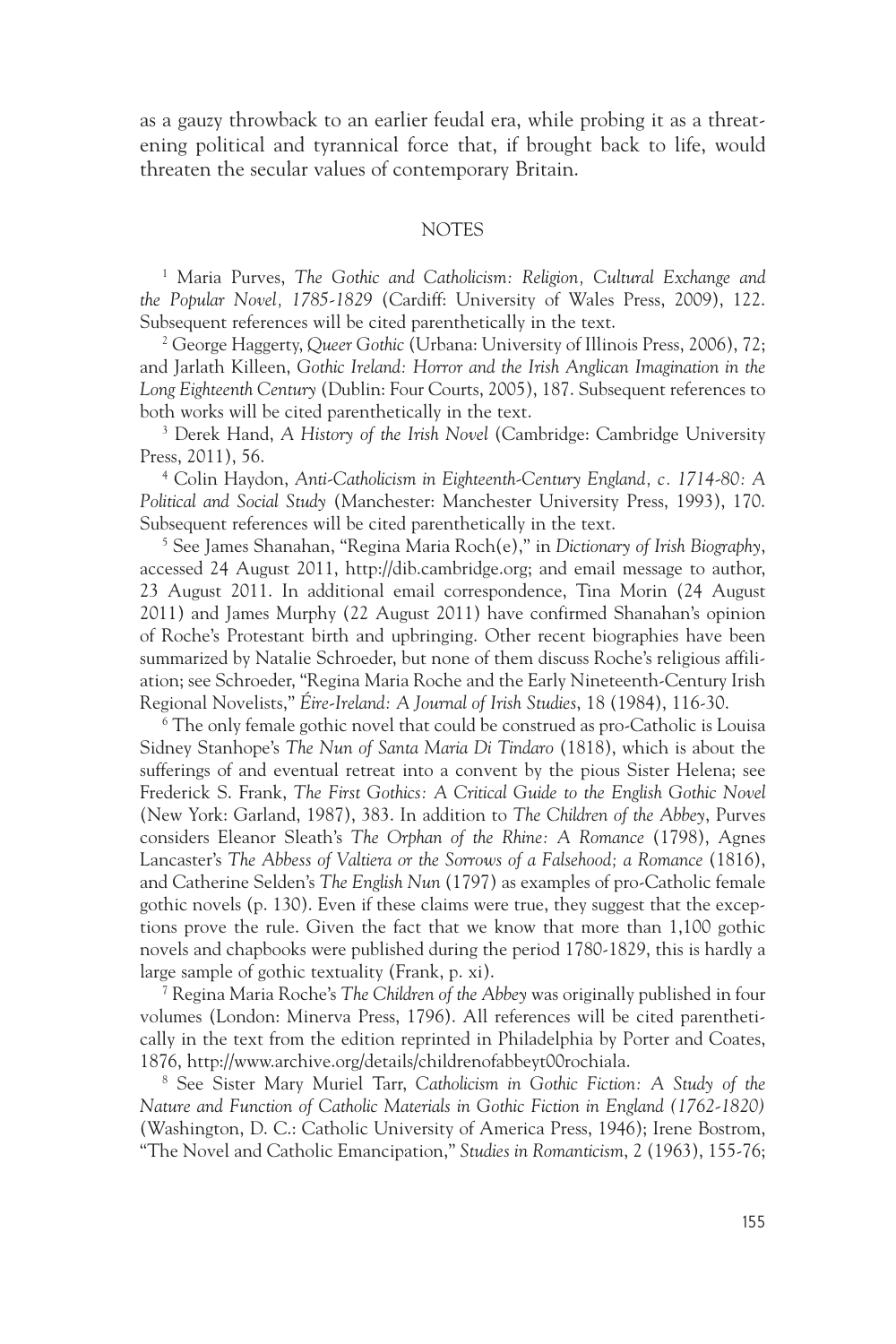as a gauzy throwback to an earlier feudal era, while probing it as a threatening political and tyrannical force that, if brought back to life, would threaten the secular values of contemporary Britain.

#### **NOTES**

<sup>1</sup> Maria Purves, The Gothic and Catholicism: Religion, Cultural Exchange and *the Popular Novel, 1785-1829* (Cardiff: University of Wales Press, 2009), 122. Subsequent references will be cited parenthetically in the text.

2 George Haggerty, *Queer Gothic* (Urbana: University of Illinois Press, 2006), 72; and Jarlath Killeen, *Gothic Ireland: Horror and the Irish Anglican Imagination in the Long Eighteenth Century* (Dublin: Four Courts, 2005), 187. Subsequent references to both works will be cited parenthetically in the text.

3 Derek Hand, *A History of the Irish Novel* (Cambridge: Cambridge University Press, 2011), 56.

4 Colin Haydon, *Anti-Catholicism in Eighteenth-Century England, c. 1714-80: A Political and Social Study* (Manchester: Manchester University Press, 1993), 170. Subsequent references will be cited parenthetically in the text.

5 See James Shanahan, "Regina Maria Roch(e)," in *Dictionary of Irish Biography*, accessed 24 August 2011, http://dib.cambridge.org; and email message to author, 23 August 2011. In additional email correspondence, Tina Morin (24 August 2011) and James Murphy (22 August 2011) have confirmed Shanahan's opinion of Roche's Protestant birth and upbringing. Other recent biographies have been summarized by Natalie Schroeder, but none of them discuss Roche's religious affiliation; see Schroeder, "Regina Maria Roche and the Early Nineteenth-Century Irish Regional Novelists," *Éire-Ireland: A Journal of Irish Studies*, 18 (1984), 116-30.

6 The only female gothic novel that could be construed as pro-Catholic is Louisa Sidney Stanhope's *The Nun of Santa Maria Di Tindaro* (1818), which is about the sufferings of and eventual retreat into a convent by the pious Sister Helena; see Frederick S. Frank, *The First Gothics: A Critical Guide to the English Gothic Novel* (New York: Garland, 1987), 383. In addition to *The Children of the Abbey*, Purves considers Eleanor Sleath's *The Orphan of the Rhine: A Romance* (1798), Agnes Lancaster's *The Abbess of Valtiera or the Sorrows of a Falsehood; a Romance* (1816), and Catherine Selden's *The English Nun* (1797) as examples of pro-Catholic female gothic novels (p. 130). Even if these claims were true, they suggest that the exceptions prove the rule. Given the fact that we know that more than 1,100 gothic novels and chapbooks were published during the period 1780-1829, this is hardly a large sample of gothic textuality (Frank, p. xi).

7 Regina Maria Roche's *The Children of the Abbey* was originally published in four volumes (London: Minerva Press, 1796). All references will be cited parenthetically in the text from the edition reprinted in Philadelphia by Porter and Coates, 1876, http://www.archive.org/details/childrenofabbeyt00rochiala.

8 See Sister Mary Muriel Tarr, *Catholicism in Gothic Fiction: A Study of the Nature and Function of Catholic Materials in Gothic Fiction in England (1762-1820)* (Washington, D. C.: Catholic University of America Press, 1946); Irene Bostrom, "The Novel and Catholic Emancipation," *Studies in Romanticism*, 2 (1963), 155-76;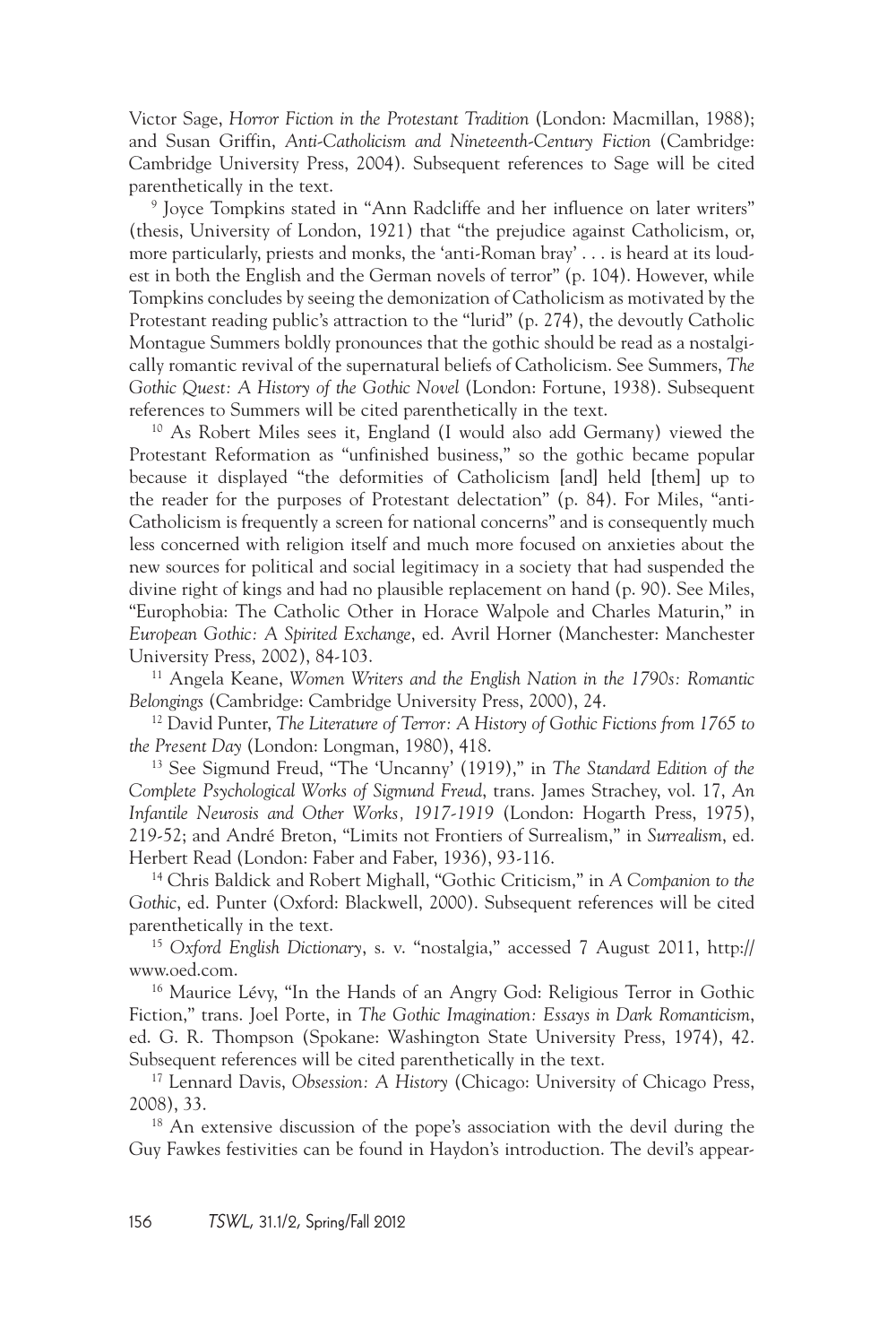Victor Sage, *Horror Fiction in the Protestant Tradition* (London: Macmillan, 1988); and Susan Griffin, *Anti-Catholicism and Nineteenth-Century Fiction* (Cambridge: Cambridge University Press, 2004). Subsequent references to Sage will be cited parenthetically in the text.

9 Joyce Tompkins stated in "Ann Radcliffe and her influence on later writers" (thesis, University of London, 1921) that "the prejudice against Catholicism, or, more particularly, priests and monks, the 'anti-Roman bray' . . . is heard at its loudest in both the English and the German novels of terror" (p. 104). However, while Tompkins concludes by seeing the demonization of Catholicism as motivated by the Protestant reading public's attraction to the "lurid" (p. 274), the devoutly Catholic Montague Summers boldly pronounces that the gothic should be read as a nostalgically romantic revival of the supernatural beliefs of Catholicism. See Summers, *The Gothic Quest: A History of the Gothic Novel* (London: Fortune, 1938). Subsequent references to Summers will be cited parenthetically in the text.

10 As Robert Miles sees it, England (I would also add Germany) viewed the Protestant Reformation as "unfinished business," so the gothic became popular because it displayed "the deformities of Catholicism [and] held [them] up to the reader for the purposes of Protestant delectation" (p. 84). For Miles, "anti-Catholicism is frequently a screen for national concerns" and is consequently much less concerned with religion itself and much more focused on anxieties about the new sources for political and social legitimacy in a society that had suspended the divine right of kings and had no plausible replacement on hand (p. 90). See Miles, "Europhobia: The Catholic Other in Horace Walpole and Charles Maturin," in *European Gothic: A Spirited Exchange*, ed. Avril Horner (Manchester: Manchester University Press, 2002), 84-103.

11 Angela Keane, *Women Writers and the English Nation in the 1790s: Romantic Belongings* (Cambridge: Cambridge University Press, 2000), 24.

12 David Punter, *The Literature of Terror: A History of Gothic Fictions from 1765 to the Present Day* (London: Longman, 1980), 418.

13 See Sigmund Freud, "The 'Uncanny' (1919)," in *The Standard Edition of the Complete Psychological Works of Sigmund Freud*, trans. James Strachey, vol. 17, *An Infantile Neurosis and Other Works, 1917-1919* (London: Hogarth Press, 1975), 219-52; and André Breton, "Limits not Frontiers of Surrealism," in *Surrealism*, ed. Herbert Read (London: Faber and Faber, 1936), 93-116.

14 Chris Baldick and Robert Mighall, "Gothic Criticism," in *A Companion to the Gothic*, ed. Punter (Oxford: Blackwell, 2000). Subsequent references will be cited parenthetically in the text.

<sup>15</sup> *Oxford English Dictionary*, s. v. "nostalgia," accessed 7 August 2011, http:// www.oed.com.

<sup>16</sup> Maurice Lévy, "In the Hands of an Angry God: Religious Terror in Gothic Fiction," trans. Joel Porte, in *The Gothic Imagination: Essays in Dark Romanticism*, ed. G. R. Thompson (Spokane: Washington State University Press, 1974), 42. Subsequent references will be cited parenthetically in the text.

17 Lennard Davis, *Obsession: A History* (Chicago: University of Chicago Press, 2008), 33.

<sup>18</sup> An extensive discussion of the pope's association with the devil during the Guy Fawkes festivities can be found in Haydon's introduction. The devil's appear-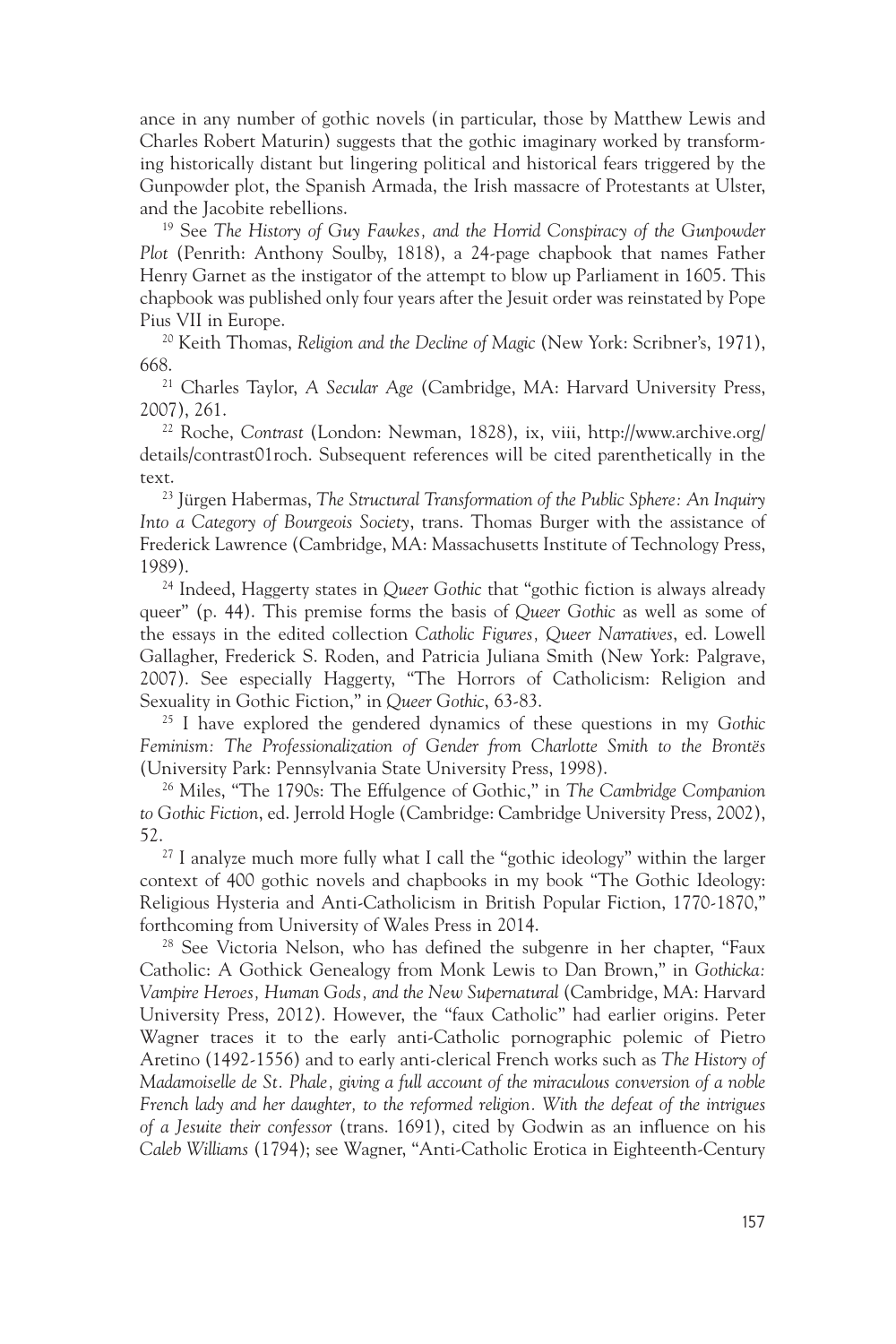ance in any number of gothic novels (in particular, those by Matthew Lewis and Charles Robert Maturin) suggests that the gothic imaginary worked by transforming historically distant but lingering political and historical fears triggered by the Gunpowder plot, the Spanish Armada, the Irish massacre of Protestants at Ulster, and the Jacobite rebellions. 19 See *The History of Guy Fawkes, and the Horrid Conspiracy of the Gunpowder* 

*Plot* (Penrith: Anthony Soulby, 1818), a 24-page chapbook that names Father Henry Garnet as the instigator of the attempt to blow up Parliament in 1605. This chapbook was published only four years after the Jesuit order was reinstated by Pope Pius VII in Europe.

20 Keith Thomas, *Religion and the Decline of Magic* (New York: Scribner's, 1971), 668.21 Charles Taylor, *A Secular Age* (Cambridge, MA: Harvard University Press,

2007), 261.

22 Roche, *Contrast* (London: Newman, 1828), ix, viii, http://www.archive.org/ details/contrast01roch. Subsequent references will be cited parenthetically in the text. 23 Jürgen Habermas, *The Structural Transformation of the Public Sphere: An Inquiry* 

*Into a Category of Bourgeois Society*, trans. Thomas Burger with the assistance of Frederick Lawrence (Cambridge, MA: Massachusetts Institute of Technology Press, 1989).

24 Indeed, Haggerty states in *Queer Gothic* that "gothic fiction is always already queer" (p. 44). This premise forms the basis of *Queer Gothic* as well as some of the essays in the edited collection *Catholic Figures, Queer Narratives*, ed. Lowell Gallagher, Frederick S. Roden, and Patricia Juliana Smith (New York: Palgrave, 2007). See especially Haggerty, "The Horrors of Catholicism: Religion and Sexuality in Gothic Fiction," in *Queer Gothic*, 63-83.

25 I have explored the gendered dynamics of these questions in my *Gothic Feminism: The Professionalization of Gender from Charlotte Smith to the Brontës* (University Park: Pennsylvania State University Press, 1998).

26 Miles, "The 1790s: The Effulgence of Gothic," in *The Cambridge Companion to Gothic Fiction*, ed. Jerrold Hogle (Cambridge: Cambridge University Press, 2002), 52.<br><sup>27</sup> I analyze much more fully what I call the "gothic ideology" within the larger

context of 400 gothic novels and chapbooks in my book "The Gothic Ideology: Religious Hysteria and Anti-Catholicism in British Popular Fiction, 1770-1870," forthcoming from University of Wales Press in 2014.

<sup>28</sup> See Victoria Nelson, who has defined the subgenre in her chapter, "Faux Catholic: A Gothick Genealogy from Monk Lewis to Dan Brown," in *Gothicka: Vampire Heroes, Human Gods, and the New Supernatural* (Cambridge, MA: Harvard University Press, 2012). However, the "faux Catholic" had earlier origins. Peter Wagner traces it to the early anti-Catholic pornographic polemic of Pietro Aretino (1492-1556) and to early anti-clerical French works such as *The History of Madamoiselle de St. Phale, giving a full account of the miraculous conversion of a noble French lady and her daughter, to the reformed religion. With the defeat of the intrigues of a Jesuite their confessor* (trans. 1691), cited by Godwin as an influence on his *Caleb Williams* (1794); see Wagner, "Anti-Catholic Erotica in Eighteenth-Century